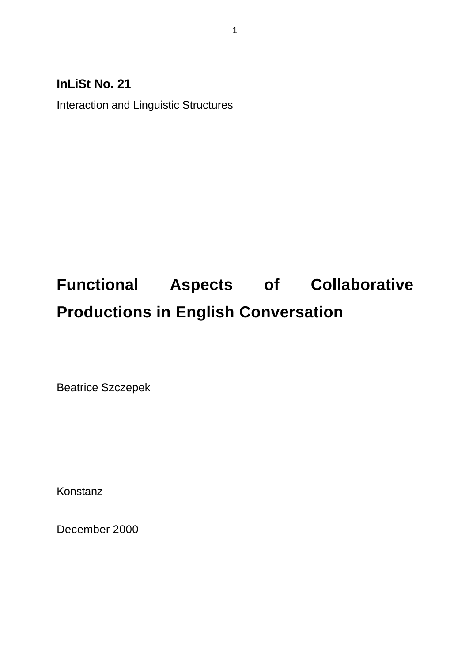# **InLiSt No. 21**

Interaction and Linguistic Structures

# **Functional Aspects of Collaborative Productions in English Conversation**

Beatrice Szczepek

Konstanz

December 2000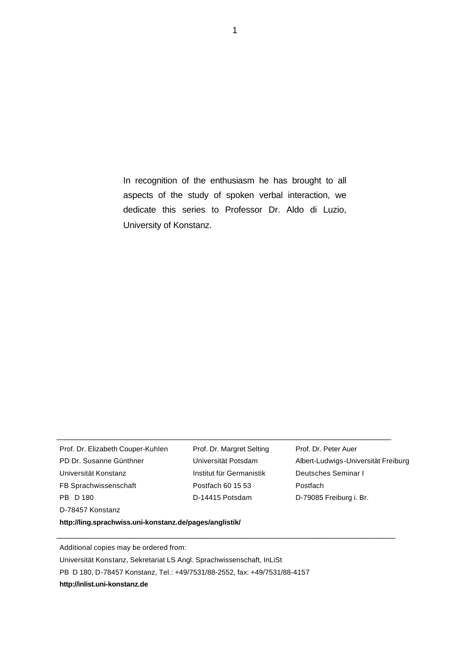In recognition of the enthusiasm he has brought to all aspects of the study of spoken verbal interaction, we dedicate this series to Professor Dr. Aldo di Luzio, University of Konstanz.

Prof. Dr. Elizabeth Couper-Kuhlen PD Dr. Susanne Günthner Universität Konstanz FB Sprachwissenschaft PB D 180 D-78457 Konstanz

Prof. Dr. Margret Selting Universität Potsdam Institut für Germanistik Postfach 60 15 53 D-14415 Potsdam

\_\_\_\_\_\_\_\_\_\_\_\_\_\_\_\_\_\_\_\_\_\_\_\_\_\_\_\_\_\_\_\_\_\_\_\_\_\_\_\_\_\_\_\_\_\_\_\_\_\_\_\_\_\_\_\_\_\_\_\_\_\_\_\_\_\_\_\_\_\_\_\_\_\_\_\_\_\_\_\_\_\_

\_\_\_\_\_\_\_\_\_\_\_\_\_\_\_\_\_\_\_\_\_\_\_\_\_\_\_\_\_\_\_\_\_\_\_\_\_\_\_\_\_\_\_\_\_\_\_\_\_\_\_\_\_\_\_\_\_\_\_\_\_\_\_\_\_\_\_\_\_\_\_\_\_\_\_\_\_\_\_\_\_

Prof. Dr. Peter Auer Albert-Ludwigs-Universität Freiburg Deutsches Seminar I Postfach D-79085 Freiburg i. Br.

**http://ling.sprachwiss.uni-konstanz.de/pages/anglistik/**

Additional copies may be ordered from: Universität Konstanz, Sekretariat LS Angl. Sprachwissenschaft, InLiSt PB D 180, D-78457 Konstanz, Tel.: +49/7531/88-2552, fax: +49/7531/88-4157 **http://inlist.uni-konstanz.de**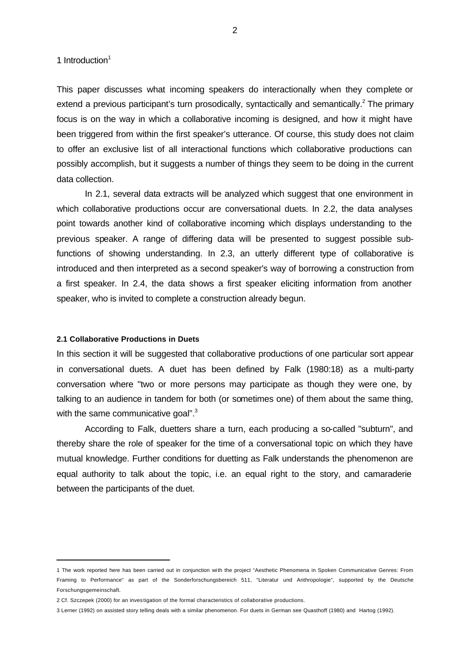1 Introduction $1$ 

This paper discusses what incoming speakers do interactionally when they complete or extend a previous participant's turn prosodically, syntactically and semantically.<sup>2</sup> The primary focus is on the way in which a collaborative incoming is designed, and how it might have been triggered from within the first speaker's utterance. Of course, this study does not claim to offer an exclusive list of all interactional functions which collaborative productions can possibly accomplish, but it suggests a number of things they seem to be doing in the current data collection.

In 2.1, several data extracts will be analyzed which suggest that one environment in which collaborative productions occur are conversational duets. In 2.2, the data analyses point towards another kind of collaborative incoming which displays understanding to the previous speaker. A range of differing data will be presented to suggest possible subfunctions of showing understanding. In 2.3, an utterly different type of collaborative is introduced and then interpreted as a second speaker's way of borrowing a construction from a first speaker. In 2.4, the data shows a first speaker eliciting information from another speaker, who is invited to complete a construction already begun.

#### **2.1 Collaborative Productions in Duets**

l

In this section it will be suggested that collaborative productions of one particular sort appear in conversational duets. A duet has been defined by Falk (1980:18) as a multi-party conversation where "two or more persons may participate as though they were one, by talking to an audience in tandem for both (or sometimes one) of them about the same thing, with the same communicative goal".<sup>3</sup>

According to Falk, duetters share a turn, each producing a so-called "subturn", and thereby share the role of speaker for the time of a conversational topic on which they have mutual knowledge. Further conditions for duetting as Falk understands the phenomenon are equal authority to talk about the topic, i.e. an equal right to the story, and camaraderie between the participants of the duet.

<sup>1</sup> The work reported here has been carried out in conjunction with the project "Aesthetic Phenomena in Spoken Communicative Genres: From Framing to Performance" as part of the Sonderforschungsbereich 511, "Literatur und Anthropologie", supported by the Deutsche Forschungsgemeinschaft.

<sup>2</sup> Cf. Szczepek (2000) for an inves tigation of the formal characteristics of collaborative productions.

<sup>3</sup> Lerner (1992) on assisted story telling deals with a similar phenomenon. For duets in German see Quasthoff (1980) and Hartog (1992).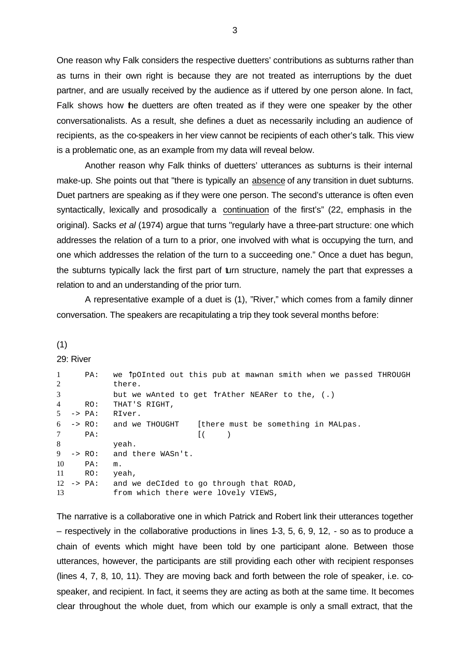One reason why Falk considers the respective duetters' contributions as subturns rather than as turns in their own right is because they are not treated as interruptions by the duet partner, and are usually received by the audience as if uttered by one person alone. In fact, Falk shows how the duetters are often treated as if they were one speaker by the other conversationalists. As a result, she defines a duet as necessarily including an audience of recipients, as the co-speakers in her view cannot be recipients of each other's talk. This view is a problematic one, as an example from my data will reveal below.

Another reason why Falk thinks of duetters' utterances as subturns is their internal make-up. She points out that "there is typically an absence of any transition in duet subturns. Duet partners are speaking as if they were one person. The second's utterance is often even syntactically, lexically and prosodically a continuation of the first's" (22, emphasis in the original). Sacks *et al* (1974) argue that turns "regularly have a three-part structure: one which addresses the relation of a turn to a prior, one involved with what is occupying the turn, and one which addresses the relation of the turn to a succeeding one." Once a duet has begun, the subturns typically lack the first part of turn structure, namely the part that expresses a relation to and an understanding of the prior turn.

A representative example of a duet is (1), "River," which comes from a family dinner conversation. The speakers are recapitulating a trip they took several months before:

#### (1)

## 29: River

| $\mathbf{1}$<br>2 | PA:                        | we TpOInted out this pub at mawnan smith when we passed THROUGH<br>there.      |  |  |  |
|-------------------|----------------------------|--------------------------------------------------------------------------------|--|--|--|
| 3                 |                            | but we wAnted to get TrAther NEARer to the, (.)                                |  |  |  |
| $\overline{4}$    | RO:                        | THAT'S RIGHT,                                                                  |  |  |  |
|                   | $5 \rightarrow PA$ :       | RIver.                                                                         |  |  |  |
|                   | $6 \rightarrow \text{RO}:$ | and we THOUGHT<br>[there must be something in MALpas.                          |  |  |  |
| $\tau$            | PA:                        | $\lceil$ (                                                                     |  |  |  |
| 8                 |                            | yeah.                                                                          |  |  |  |
| 9                 | $\rightarrow$ RO:          | and there WASn't.                                                              |  |  |  |
| 10                | PA:                        | m.                                                                             |  |  |  |
| 11                | RO:                        | yeah,                                                                          |  |  |  |
| 13                | $12 \rightarrow PA$ :      | and we deCIded to go through that ROAD,<br>from which there were lOvely VIEWS, |  |  |  |

The narrative is a collaborative one in which Patrick and Robert link their utterances together – respectively in the collaborative productions in lines 1-3, 5, 6, 9, 12, - so as to produce a chain of events which might have been told by one participant alone. Between those utterances, however, the participants are still providing each other with recipient responses (lines 4, 7, 8, 10, 11). They are moving back and forth between the role of speaker, i.e. cospeaker, and recipient. In fact, it seems they are acting as both at the same time. It becomes clear throughout the whole duet, from which our example is only a small extract, that the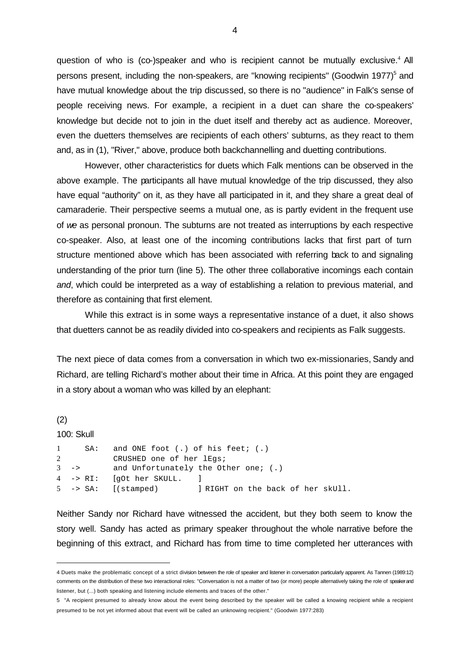question of who is (co-)speaker and who is recipient cannot be mutually exclusive.<sup>4</sup> All persons present, including the non-speakers, are "knowing recipients" (Goodwin 1977)<sup>5</sup> and have mutual knowledge about the trip discussed, so there is no "audience" in Falk's sense of people receiving news. For example, a recipient in a duet can share the co-speakers' knowledge but decide not to join in the duet itself and thereby act as audience. Moreover, even the duetters themselves are recipients of each others' subturns, as they react to them and, as in (1), "River," above, produce both backchannelling and duetting contributions.

However, other characteristics for duets which Falk mentions can be observed in the above example. The participants all have mutual knowledge of the trip discussed, they also have equal "authority" on it, as they have all participated in it, and they share a great deal of camaraderie. Their perspective seems a mutual one, as is partly evident in the frequent use of *we* as personal pronoun. The subturns are not treated as interruptions by each respective co-speaker. Also, at least one of the incoming contributions lacks that first part of turn structure mentioned above which has been associated with referring back to and signaling understanding of the prior turn (line 5). The other three collaborative incomings each contain *and*, which could be interpreted as a way of establishing a relation to previous material, and therefore as containing that first element.

While this extract is in some ways a representative instance of a duet, it also shows that duetters cannot be as readily divided into co-speakers and recipients as Falk suggests.

The next piece of data comes from a conversation in which two ex-missionaries, Sandy and Richard, are telling Richard's mother about their time in Africa. At this point they are engaged in a story about a woman who was killed by an elephant:

(2) 100: Skull SA: and ONE foot (.) of his feet; (.) CRUSHED one of her lEgs; -> and Unfortunately the Other one; (.) -> RI: [gOt her SKULL. ] -> SA: [(stamped) ] RIGHT on the back of her skUll.

l

Neither Sandy nor Richard have witnessed the accident, but they both seem to know the story well. Sandy has acted as primary speaker throughout the whole narrative before the beginning of this extract, and Richard has from time to time completed her utterances with

<sup>4</sup> Duets make the problematic concept of a strict division between the role of speaker and listener in conversation particularly apparent. As Tannen (1989:12) comments on the distribution of these two interactional roles: "Conversation is not a matter of two (or more) people alternatively taking the role of speaker and listener, but (...) both speaking and listening include elements and traces of the other."

<sup>5 &</sup>quot;A recipient presumed to already know about the event being described by the speaker will be called a knowing recipient while a recipient presumed to be not yet informed about that event will be called an unknowing recipient." (Goodwin 1977:283)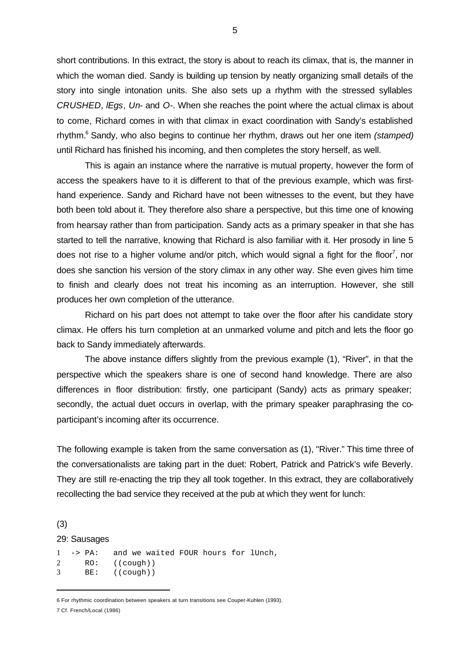short contributions. In this extract, the story is about to reach its climax, that is, the manner in which the woman died. Sandy is building up tension by neatly organizing small details of the story into single intonation units. She also sets up a rhythm with the stressed syllables *CRUSHED*, *lEgs*, *Un-* and *O-*. When she reaches the point where the actual climax is about to come, Richard comes in with that climax in exact coordination with Sandy's established rhythm.<sup>6</sup> Sandy, who also begins to continue her rhythm, draws out her one item *(stamped)* until Richard has finished his incoming, and then completes the story herself, as well.

This is again an instance where the narrative is mutual property, however the form of access the speakers have to it is different to that of the previous example, which was firsthand experience. Sandy and Richard have not been witnesses to the event, but they have both been told about it. They therefore also share a perspective, but this time one of knowing from hearsay rather than from participation. Sandy acts as a primary speaker in that she has started to tell the narrative, knowing that Richard is also familiar with it. Her prosody in line 5 does not rise to a higher volume and/or pitch, which would signal a fight for the floor<sup>7</sup>, nor does she sanction his version of the story climax in any other way. She even gives him time to finish and clearly does not treat his incoming as an interruption. However, she still produces her own completion of the utterance.

Richard on his part does not attempt to take over the floor after his candidate story climax. He offers his turn completion at an unmarked volume and pitch and lets the floor go back to Sandy immediately afterwards.

The above instance differs slightly from the previous example (1), "River", in that the perspective which the speakers share is one of second hand knowledge. There are also differences in floor distribution: firstly, one participant (Sandy) acts as primary speaker; secondly, the actual duet occurs in overlap, with the primary speaker paraphrasing the coparticipant's incoming after its occurrence.

The following example is taken from the same conversation as (1), "River." This time three of the conversationalists are taking part in the duet: Robert, Patrick and Patrick's wife Beverly. They are still re-enacting the trip they all took together. In this extract, they are collaboratively recollecting the bad service they received at the pub at which they went for lunch:

(3)

l

#### 29: Sausages

1 -> PA: and we waited FOUR hours for lUnch, 2 RO: ((cough)) 3 BE: ((cough))

7 Cf. French/Local (1986)

<sup>6</sup> For rhythmic coordination between speakers at turn transitions see Couper-Kuhlen (1993).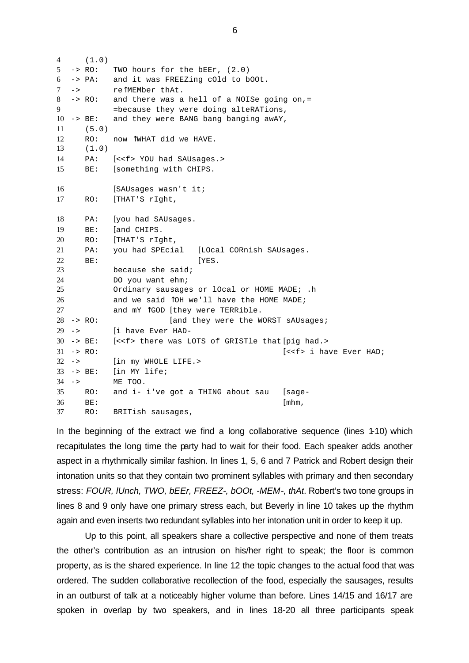(1.0) -> RO: TWO hours for the bEEr, (2.0) -> PA: and it was FREEZing cOld to bOOt. 7 -> re↑MEMber thAt. -> RO: and there was a hell of a NOISe going on,= =because they were doing alteRATions, -> BE: and they were BANG bang banging awAY, (5.0) 12 RO: now TWHAT did we HAVE. (1.0) PA: [<<f> YOU had SAUsages.> BE: [something with CHIPS. 16 [SAUsages wasn't it; RO: [THAT'S rIght, PA: [you had SAUsages. BE: [and CHIPS. RO: [THAT'S rIght, PA: you had SPEcial [LOcal CORnish SAUsages. 22 BE: [YES. because she said; DO you want ehm; Ordinary sausages or lOcal or HOME MADE; .h and we said  $\hat{)}$ OH we'll have the HOME MADE; 27 and mY TGOD [they were TERRible. -> RO: [and they were the WORST sAUsages; -> [i have Ever HAD- -> BE: [<<f> there was LOTS of GRISTle that [pig had.> -> RO: [<<f> i have Ever HAD; -> [in my WHOLE LIFE.> -> BE: [in MY life; -> ME TOO. RO: and i- i've got a THING about sau [sage- BE:  $[mhm,$ RO: BRITish sausages,

In the beginning of the extract we find a long collaborative sequence (lines 1-10) which recapitulates the long time the party had to wait for their food. Each speaker adds another aspect in a rhythmically similar fashion. In lines 1, 5, 6 and 7 Patrick and Robert design their intonation units so that they contain two prominent syllables with primary and then secondary stress: *FOUR, lUnch, TWO, bEEr, FREEZ-, bOOt, -MEM-, thAt*. Robert's two tone groups in lines 8 and 9 only have one primary stress each, but Beverly in line 10 takes up the rhythm again and even inserts two redundant syllables into her intonation unit in order to keep it up.

Up to this point, all speakers share a collective perspective and none of them treats the other's contribution as an intrusion on his/her right to speak; the floor is common property, as is the shared experience. In line 12 the topic changes to the actual food that was ordered. The sudden collaborative recollection of the food, especially the sausages, results in an outburst of talk at a noticeably higher volume than before. Lines 14/15 and 16/17 are spoken in overlap by two speakers, and in lines 18-20 all three participants speak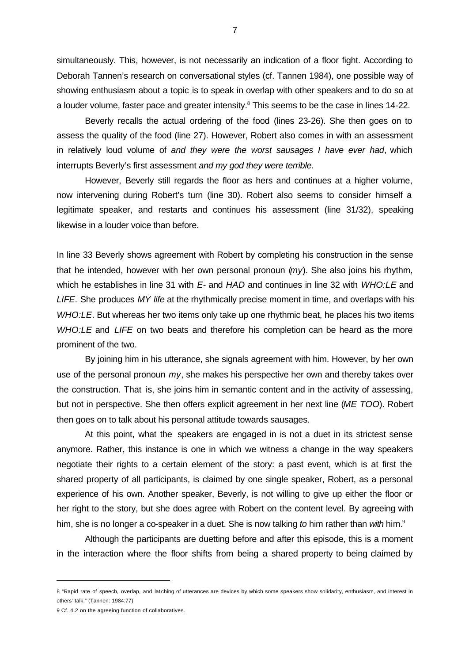simultaneously. This, however, is not necessarily an indication of a floor fight. According to Deborah Tannen's research on conversational styles (cf. Tannen 1984), one possible way of showing enthusiasm about a topic is to speak in overlap with other speakers and to do so at a louder volume, faster pace and greater intensity.<sup>8</sup> This seems to be the case in lines 14-22.

Beverly recalls the actual ordering of the food (lines 23-26). She then goes on to assess the quality of the food (line 27). However, Robert also comes in with an assessment in relatively loud volume of *and they were the worst sausages I have ever had*, which interrupts Beverly's first assessment *and my god they were terrible*.

However, Beverly still regards the floor as hers and continues at a higher volume, now intervening during Robert's turn (line 30). Robert also seems to consider himself a legitimate speaker, and restarts and continues his assessment (line 31/32), speaking likewise in a louder voice than before.

In line 33 Beverly shows agreement with Robert by completing his construction in the sense that he intended, however with her own personal pronoun (*my*). She also joins his rhythm, which he establishes in line 31 with *E-* and *HAD* and continues in line 32 with *WHO:LE* and *LIFE*. She produces *MY life* at the rhythmically precise moment in time, and overlaps with his *WHO:LE*. But whereas her two items only take up one rhythmic beat, he places his two items *WHO:LE* and *LIFE* on two beats and therefore his completion can be heard as the more prominent of the two.

By joining him in his utterance, she signals agreement with him. However, by her own use of the personal pronoun *my*, she makes his perspective her own and thereby takes over the construction. That is, she joins him in semantic content and in the activity of assessing, but not in perspective. She then offers explicit agreement in her next line (*ME TOO*). Robert then goes on to talk about his personal attitude towards sausages.

At this point, what the speakers are engaged in is not a duet in its strictest sense anymore. Rather, this instance is one in which we witness a change in the way speakers negotiate their rights to a certain element of the story: a past event, which is at first the shared property of all participants, is claimed by one single speaker, Robert, as a personal experience of his own. Another speaker, Beverly, is not willing to give up either the floor or her right to the story, but she does agree with Robert on the content level. By agreeing with him, she is no longer a co-speaker in a duet. She is now talking *to* him rather than *with* him.<sup>9</sup>

Although the participants are duetting before and after this episode, this is a moment in the interaction where the floor shifts from being a shared property to being claimed by

<sup>8 &</sup>quot;Rapid rate of speech, overlap, and lat ching of utterances are devices by which some speakers show solidarity, enthusiasm, and interest in others' talk." (Tannen: 1984:77)

<sup>9</sup> Cf. 4.2 on the agreeing function of collaboratives.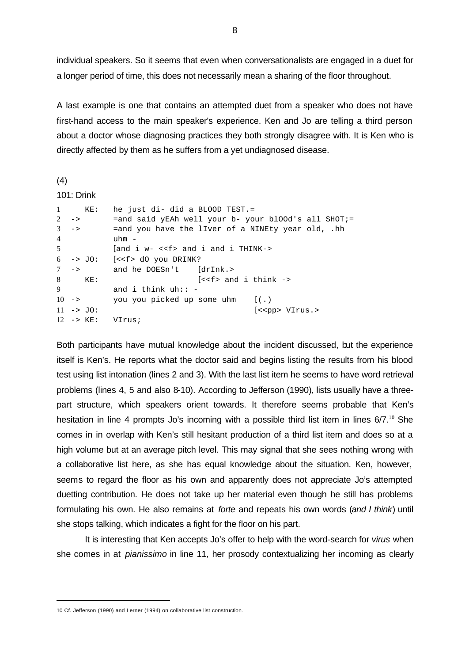individual speakers. So it seems that even when conversationalists are engaged in a duet for a longer period of time, this does not necessarily mean a sharing of the floor throughout.

A last example is one that contains an attempted duet from a speaker who does not have first-hand access to the main speaker's experience. Ken and Jo are telling a third person about a doctor whose diagnosing practices they both strongly disagree with. It is Ken who is directly affected by them as he suffers from a yet undiagnosed disease.

```
(4)
```
l

101: Drink

| $\mathbf{1}$   |                 | KE:                   | he just di- did a BLOOD TEST.=                              |                                                                   |
|----------------|-----------------|-----------------------|-------------------------------------------------------------|-------------------------------------------------------------------|
|                | $2 \rightarrow$ |                       |                                                             | $=$ and said yEAh well your b- your blOOd's all SHOT;=            |
|                | $3 \rightarrow$ |                       |                                                             | =and you have the liver of a NINEty year old, .hh                 |
| $\overline{4}$ |                 |                       | $uhm -$                                                     |                                                                   |
| 5 <sup>5</sup> |                 |                       | $[and i w- < f > and i and i THINK->$                       |                                                                   |
|                |                 |                       | $6 \rightarrow$ JO: $\left[ \text{< d0 you DRINK?} \right]$ |                                                                   |
|                | $7 \rightarrow$ |                       | and he DOESn't [drInk.>                                     |                                                                   |
|                |                 | 8 KE:                 |                                                             | $\left[ \langle \langle f \rangle \rangle \right]$ and i think -> |
| 9              |                 |                       | and i think $uh: -$                                         |                                                                   |
|                | $10 - 5$        |                       | you you picked up some uhm $( \cdot )$                      |                                                                   |
|                |                 | $11 - > J0$ :         |                                                             | < <pp> VIrus.&gt;</pp>                                            |
|                |                 | $12 \rightarrow KE$ : | VIrus;                                                      |                                                                   |
|                |                 |                       |                                                             |                                                                   |

Both participants have mutual knowledge about the incident discussed, but the experience itself is Ken's. He reports what the doctor said and begins listing the results from his blood test using list intonation (lines 2 and 3). With the last list item he seems to have word retrieval problems (lines 4, 5 and also 8-10). According to Jefferson (1990), lists usually have a threepart structure, which speakers orient towards. It therefore seems probable that Ken's hesitation in line 4 prompts Jo's incoming with a possible third list item in lines  $6/7$ .<sup>10</sup> She comes in in overlap with Ken's still hesitant production of a third list item and does so at a high volume but at an average pitch level. This may signal that she sees nothing wrong with a collaborative list here, as she has equal knowledge about the situation. Ken, however, seems to regard the floor as his own and apparently does not appreciate Jo's attempted duetting contribution. He does not take up her material even though he still has problems formulating his own. He also remains at *forte* and repeats his own words (*and I think*) until she stops talking, which indicates a fight for the floor on his part.

It is interesting that Ken accepts Jo's offer to help with the word-search for *virus* when she comes in at *pianissimo* in line 11, her prosody contextualizing her incoming as clearly

<sup>10</sup> Cf. Jefferson (1990) and Lerner (1994) on collaborative list construction.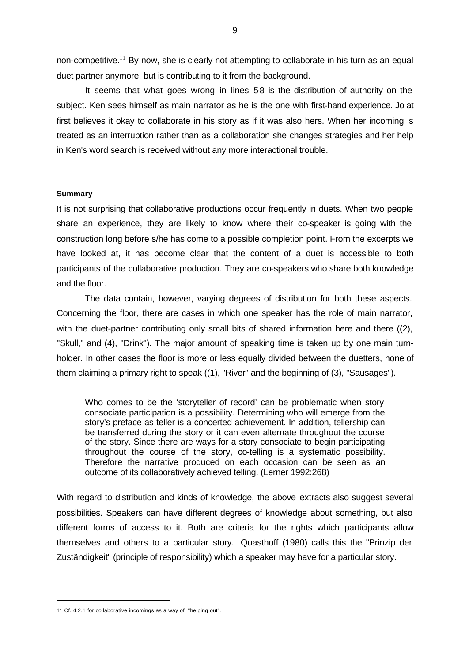non-competitive.<sup>11</sup> By now, she is clearly not attempting to collaborate in his turn as an equal duet partner anymore, but is contributing to it from the background.

It seems that what goes wrong in lines 5-8 is the distribution of authority on the subject. Ken sees himself as main narrator as he is the one with first-hand experience. Jo at first believes it okay to collaborate in his story as if it was also hers. When her incoming is treated as an interruption rather than as a collaboration she changes strategies and her help in Ken's word search is received without any more interactional trouble.

#### **Summary**

It is not surprising that collaborative productions occur frequently in duets. When two people share an experience, they are likely to know where their co-speaker is going with the construction long before s/he has come to a possible completion point. From the excerpts we have looked at, it has become clear that the content of a duet is accessible to both participants of the collaborative production. They are co-speakers who share both knowledge and the floor.

The data contain, however, varying degrees of distribution for both these aspects. Concerning the floor, there are cases in which one speaker has the role of main narrator, with the duet-partner contributing only small bits of shared information here and there ((2), "Skull," and (4), "Drink"). The major amount of speaking time is taken up by one main turnholder. In other cases the floor is more or less equally divided between the duetters, none of them claiming a primary right to speak ((1), "River" and the beginning of (3), "Sausages").

Who comes to be the 'storyteller of record' can be problematic when story consociate participation is a possibility. Determining who will emerge from the story's preface as teller is a concerted achievement. In addition, tellership can be transferred during the story or it can even alternate throughout the course of the story. Since there are ways for a story consociate to begin participating throughout the course of the story, co-telling is a systematic possibility. Therefore the narrative produced on each occasion can be seen as an outcome of its collaboratively achieved telling. (Lerner 1992:268)

With regard to distribution and kinds of knowledge, the above extracts also suggest several possibilities. Speakers can have different degrees of knowledge about something, but also different forms of access to it. Both are criteria for the rights which participants allow themselves and others to a particular story. Quasthoff (1980) calls this the "Prinzip der Zuständigkeit" (principle of responsibility) which a speaker may have for a particular story.

<sup>11</sup> Cf. 4.2.1 for collaborative incomings as a way of "helping out".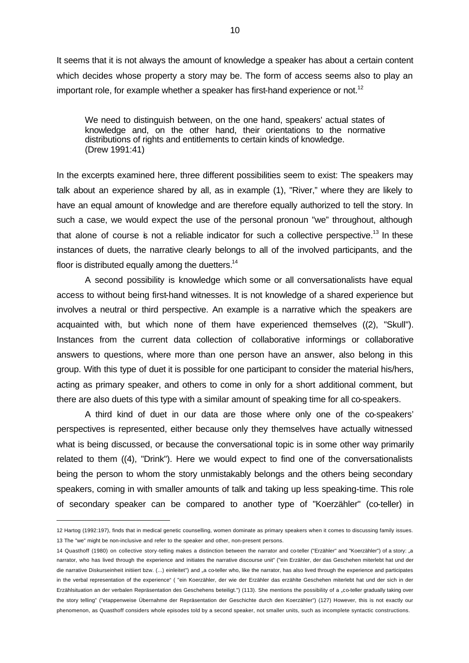It seems that it is not always the amount of knowledge a speaker has about a certain content which decides whose property a story may be. The form of access seems also to play an important role, for example whether a speaker has first-hand experience or not.<sup>12</sup>

We need to distinguish between, on the one hand, speakers' actual states of knowledge and, on the other hand, their orientations to the normative distributions of rights and entitlements to certain kinds of knowledge. (Drew 1991:41)

In the excerpts examined here, three different possibilities seem to exist: The speakers may talk about an experience shared by all, as in example (1), "River," where they are likely to have an equal amount of knowledge and are therefore equally authorized to tell the story. In such a case, we would expect the use of the personal pronoun "we" throughout, although that alone of course  $\bar{b}$  not a reliable indicator for such a collective perspective.<sup>13</sup> In these instances of duets, the narrative clearly belongs to all of the involved participants, and the floor is distributed equally among the duetters. $14$ 

A second possibility is knowledge which some or all conversationalists have equal access to without being first-hand witnesses. It is not knowledge of a shared experience but involves a neutral or third perspective. An example is a narrative which the speakers are acquainted with, but which none of them have experienced themselves ((2), "Skull"). Instances from the current data collection of collaborative informings or collaborative answers to questions, where more than one person have an answer, also belong in this group. With this type of duet it is possible for one participant to consider the material his/hers, acting as primary speaker, and others to come in only for a short additional comment, but there are also duets of this type with a similar amount of speaking time for all co-speakers.

A third kind of duet in our data are those where only one of the co-speakers' perspectives is represented, either because only they themselves have actually witnessed what is being discussed, or because the conversational topic is in some other way primarily related to them ((4), "Drink"). Here we would expect to find one of the conversationalists being the person to whom the story unmistakably belongs and the others being secondary speakers, coming in with smaller amounts of talk and taking up less speaking-time. This role of secondary speaker can be compared to another type of "Koerzähler" (co-teller) in

<sup>12</sup> Hartog (1992:197), finds that in medical genetic counselling, women dominate as primary speakers when it comes to discussing family issues. 13 The "we" might be non-inclusive and refer to the speaker and other, non-present persons.

<sup>14</sup> Quasthoff (1980) on collective story -telling makes a distinction between the narrator and co-teller ("Erzähler" and "Koerzähler") of a story: "a narrator, who has lived through the experience and initiates the narrative discourse unit" ("ein Erzähler, der das Geschehen miterlebt hat und der die narrative Diskurseinheit initiiert bzw. (...) einleitet") and "a co-teller who, like the narrator, has also lived through the experience and participates in the verbal representation of the experience" ( "ein Koerzähler, der wie der Erzähler das erzählte Geschehen miterlebt hat und der sich in der Erzählsituation an der verbalen Repräsentation des Geschehens beteiligt.") (113). She mentions the possibility of a "co-teller gradually taking over the story telling" ("etappenweise Übernahme der Repräsentation der Geschichte durch den Koerzähler") (127) However, this is not exactly our phenomenon, as Quasthoff considers whole episodes told by a second speaker, not smaller units, such as incomplete syntactic constructions.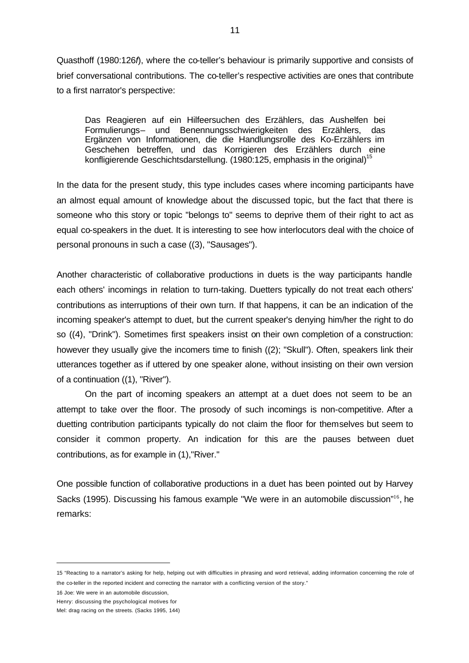Quasthoff (1980:126*f*), where the co-teller's behaviour is primarily supportive and consists of brief conversational contributions. The co-teller's respective activities are ones that contribute to a first narrator's perspective:

Das Reagieren auf ein Hilfeersuchen des Erzählers, das Aushelfen bei Formulierungs– und Benennungsschwierigkeiten des Erzählers, das Ergänzen von Informationen, die die Handlungsrolle des Ko-Erzählers im Geschehen betreffen, und das Korrigieren des Erzählers durch eine konfligierende Geschichtsdarstellung. (1980:125, emphasis in the original)<sup>15</sup>

In the data for the present study, this type includes cases where incoming participants have an almost equal amount of knowledge about the discussed topic, but the fact that there is someone who this story or topic "belongs to" seems to deprive them of their right to act as equal co-speakers in the duet. It is interesting to see how interlocutors deal with the choice of personal pronouns in such a case ((3), "Sausages").

Another characteristic of collaborative productions in duets is the way participants handle each others' incomings in relation to turn-taking. Duetters typically do not treat each others' contributions as interruptions of their own turn. If that happens, it can be an indication of the incoming speaker's attempt to duet, but the current speaker's denying him/her the right to do so ((4), "Drink"). Sometimes first speakers insist on their own completion of a construction: however they usually give the incomers time to finish ((2); "Skull"). Often, speakers link their utterances together as if uttered by one speaker alone, without insisting on their own version of a continuation ((1), "River").

On the part of incoming speakers an attempt at a duet does not seem to be an attempt to take over the floor. The prosody of such incomings is non-competitive. After a duetting contribution participants typically do not claim the floor for themselves but seem to consider it common property. An indication for this are the pauses between duet contributions, as for example in (1),"River."

One possible function of collaborative productions in a duet has been pointed out by Harvey Sacks (1995). Discussing his famous example "We were in an automobile discussion"<sup>16</sup>, he remarks:

16 Joe: We were in an automobile discussion,

<sup>15 &</sup>quot;Reacting to a narrator's asking for help, helping out with difficulties in phrasing and word retrieval, adding information concerning the role of the co-teller in the reported incident and correcting the narrator with a conflicting version of the story."

Henry: discussing the psychological motives for

Mel: drag racing on the streets. (Sacks 1995, 144)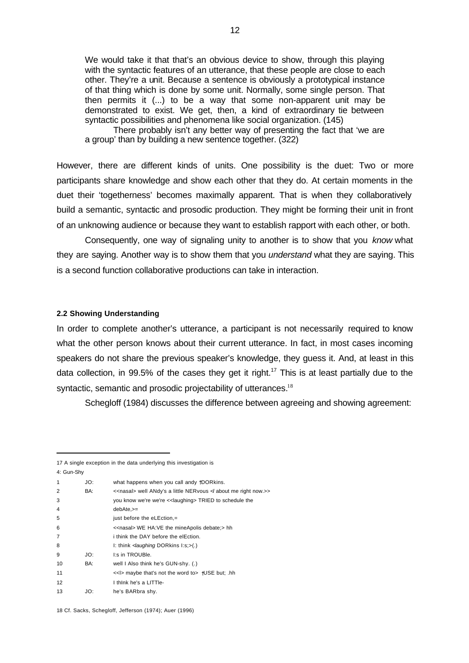We would take it that that's an obvious device to show, through this playing with the syntactic features of an utterance, that these people are close to each other. They're a unit. Because a sentence is obviously a prototypical instance of that thing which is done by some unit. Normally, some single person. That then permits it (...) to be a way that some non-apparent unit may be demonstrated to exist. We get, then, a kind of extraordinary tie between syntactic possibilities and phenomena like social organization. (145)

There probably isn't any better way of presenting the fact that 'we are a group' than by building a new sentence together. (322)

However, there are different kinds of units. One possibility is the duet: Two or more participants share knowledge and show each other that they do. At certain moments in the duet their 'togetherness' becomes maximally apparent. That is when they collaboratively build a semantic, syntactic and prosodic production. They might be forming their unit in front of an unknowing audience or because they want to establish rapport with each other, or both.

Consequently, one way of signaling unity to another is to show that you *know* what they are saying. Another way is to show them that you *understand* what they are saying. This is a second function collaborative productions can take in interaction.

#### **2.2 Showing Understanding**

l

In order to complete another's utterance, a participant is not necessarily required to know what the other person knows about their current utterance. In fact, in most cases incoming speakers do not share the previous speaker's knowledge, they guess it. And, at least in this data collection, in 99.5% of the cases they get it right.<sup>17</sup> This is at least partially due to the syntactic, semantic and prosodic projectability of utterances.<sup>18</sup>

Schegloff (1984) discusses the difference between agreeing and showing agreement:

<sup>17</sup> A single exception in the data underlying this investigation is 4: Gun-Shy

| $\mathbf{1}$ | JO: | what happens when you call andy TDORkins.                 |
|--------------|-----|-----------------------------------------------------------|
| 2            | BA: | < <nasal> well ANdy's a little NERvous &gt;</nasal>       |
| 3            |     | you know we're we're << laughing> TRIED to schedule the   |
| 4            |     | debAte,>=                                                 |
| 5            |     | just before the eLEction,=                                |
| 6            |     | < <nasal> WE HA:VE the mineApolis debate;&gt; hh</nasal>  |
| 7            |     | i think the DAY before the elEction.                      |
| 8            |     | I: think $\leq$ <i>staughing</i> DORkins I:s; $>$ (.)     |
| 9            | JO: | I:s in TROUBle.                                           |
| 10           | BA: | well I Also think he's GUN-shy. (.)                       |
| 11           |     | < <i> maybe that's not the word to&gt; 1 OSE but; .hh</i> |
| 12           |     | I think he's a LITTle-                                    |
| 13           | JO: | he's BARbra shy.                                          |

<sup>18</sup> Cf. Sacks, Schegloff, Jefferson (1974); Auer (1996)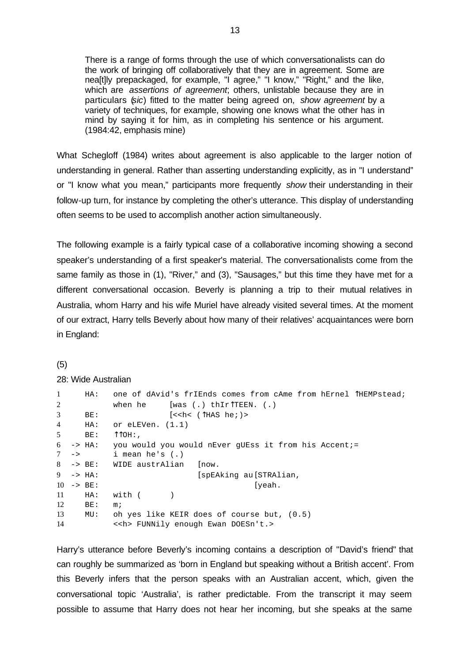There is a range of forms through the use of which conversationalists can do the work of bringing off collaboratively that they are in agreement. Some are nea[t]ly prepackaged, for example, "I agree," "I know," "Right," and the like, which are *assertions of agreement*; others, unlistable because they are in particulars (*sic*) fitted to the matter being agreed on, *show agreement* by a variety of techniques, for example, showing one knows what the other has in mind by saying it for him, as in completing his sentence or his argument. (1984:42, emphasis mine)

What Schegloff (1984) writes about agreement is also applicable to the larger notion of understanding in general. Rather than asserting understanding explicitly, as in "I understand" or "I know what you mean," participants more frequently *show* their understanding in their follow-up turn, for instance by completing the other's utterance. This display of understanding often seems to be used to accomplish another action simultaneously.

The following example is a fairly typical case of a collaborative incoming showing a second speaker's understanding of a first speaker's material. The conversationalists come from the same family as those in (1), "River," and (3), "Sausages," but this time they have met for a different conversational occasion. Beverly is planning a trip to their mutual relatives in Australia, whom Harry and his wife Muriel have already visited several times. At the moment of our extract, Harry tells Beverly about how many of their relatives' acquaintances were born in England:

#### (5)

#### 28: Wide Australian

| $\mathbf{1}$   | HA:                   | one of dAvid's frIEnds comes from cAme from hErnel THEMPstead; |  |  |  |
|----------------|-----------------------|----------------------------------------------------------------|--|--|--|
| 2              |                       | when he $\qquad$ [was (.) thir TTEEN. (.)                      |  |  |  |
| 3              | BE:                   | $[\langle \langle \text{the } \rangle \rangle]$ (Thas he; ) >  |  |  |  |
| $\overline{4}$ | HA:                   | or eLEVen. (1.1)                                               |  |  |  |
| 5              | BE:                   | ↑↑он∶,                                                         |  |  |  |
| 6              |                       | -> HA: you would you would nEver qUEss it from his Accent;=    |  |  |  |
|                |                       | $7 \rightarrow$ i mean he's (.)                                |  |  |  |
|                |                       | 8 -> BE: WIDE austrAlian<br>[now.                              |  |  |  |
|                | $9 \rightarrow HA$ :  | [spEAking au [STRAlian,                                        |  |  |  |
|                | $10 \rightarrow BE$ : | [yeah.                                                         |  |  |  |
| 11             | HA:                   | with (                                                         |  |  |  |
| 12             | BE:                   | $m_i$                                                          |  |  |  |
| 13             |                       | MU: oh yes like KEIR does of course but, (0.5)                 |  |  |  |
| 14             |                       | < <h> FUNNily enough Ewan DOESn't.&gt;</h>                     |  |  |  |

Harry's utterance before Beverly's incoming contains a description of "David's friend" that can roughly be summarized as 'born in England but speaking without a British accent'. From this Beverly infers that the person speaks with an Australian accent, which, given the conversational topic 'Australia', is rather predictable. From the transcript it may seem possible to assume that Harry does not hear her incoming, but she speaks at the same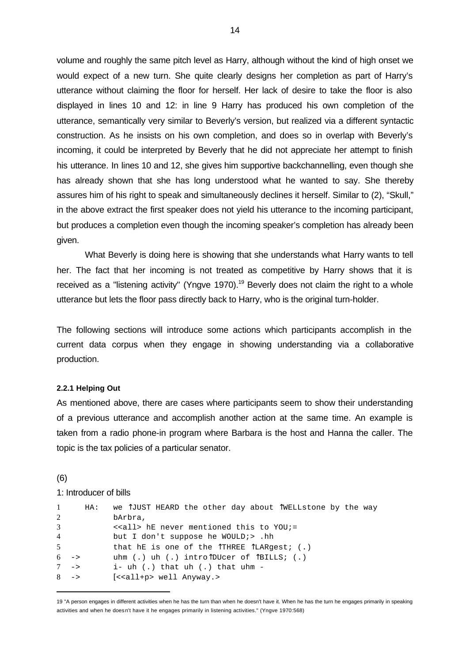volume and roughly the same pitch level as Harry, although without the kind of high onset we would expect of a new turn. She quite clearly designs her completion as part of Harry's utterance without claiming the floor for herself. Her lack of desire to take the floor is also displayed in lines 10 and 12: in line 9 Harry has produced his own completion of the utterance, semantically very similar to Beverly's version, but realized via a different syntactic construction. As he insists on his own completion, and does so in overlap with Beverly's incoming, it could be interpreted by Beverly that he did not appreciate her attempt to finish his utterance. In lines 10 and 12, she gives him supportive backchannelling, even though she has already shown that she has long understood what he wanted to say. She thereby assures him of his right to speak and simultaneously declines it herself. Similar to (2), "Skull," in the above extract the first speaker does not yield his utterance to the incoming participant, but produces a completion even though the incoming speaker's completion has already been given.

What Beverly is doing here is showing that she understands what Harry wants to tell her. The fact that her incoming is not treated as competitive by Harry shows that it is received as a "listening activity" (Yngve 1970).<sup>19</sup> Beverly does not claim the right to a whole utterance but lets the floor pass directly back to Harry, who is the original turn-holder.

The following sections will introduce some actions which participants accomplish in the current data corpus when they engage in showing understanding via a collaborative production.

#### **2.2.1 Helping Out**

As mentioned above, there are cases where participants seem to show their understanding of a previous utterance and accomplish another action at the same time. An example is taken from a radio phone-in program where Barbara is the host and Hanna the caller. The topic is the tax policies of a particular senator.

#### (6)

l

#### 1: Introducer of bills

| $\mathbf{1}$    | HA: | we TJUST HEARD the other day about TWELLstone by the way     |
|-----------------|-----|--------------------------------------------------------------|
| $\overline{2}$  |     | bArbra,                                                      |
| $\mathfrak{Z}$  |     | < <all> hE never mentioned this to YOU;=</all>               |
| $\overline{4}$  |     | but I don't suppose he WOULD; > .hh                          |
| 5 <sup>5</sup>  |     | that hE is one of the $\hat{L}$ THREE $\hat{L}$ LARgest; (.) |
| $6 - >$         |     | uhm (.) uh (.) intro $\hat{D}$ DUcer of $\hat{B}$ ILLS; (.)  |
| $7 \rightarrow$ |     | i- uh $(.)$ that uh $(.)$ that uhm -                         |
| $8 - 5$         |     | $[<$ all+p> well Anyway.>                                    |

<sup>19 &</sup>quot;A person engages in different activities when he has the turn than when he doesn't have it. When he has the turn he engages primarily in speaking activities and when he doesn't have it he engages primarily in listening activities." (Yngve 1970:568)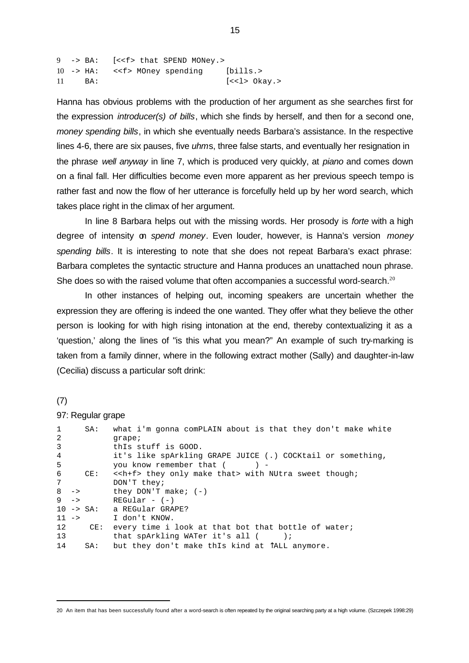```
9 -> BA: [<<f> that SPEND MONey.>
10 -> HA: <<f> MOney spending [bills.>
11 BA: [<<l> Okay.>
```
Hanna has obvious problems with the production of her argument as she searches first for the expression *introducer(s) of bills*, which she finds by herself, and then for a second one, *money spending bills*, in which she eventually needs Barbara's assistance. In the respective lines 4-6, there are six pauses, five *uhm*s, three false starts, and eventually her resignation in the phrase *well anyway* in line 7, which is produced very quickly, at *piano* and comes down on a final fall. Her difficulties become even more apparent as her previous speech tempo is rather fast and now the flow of her utterance is forcefully held up by her word search, which takes place right in the climax of her argument.

In line 8 Barbara helps out with the missing words. Her prosody is *forte* with a high degree of intensity on *spend money*. Even louder, however, is Hanna's version *money spending bills*. It is interesting to note that she does not repeat Barbara's exact phrase: Barbara completes the syntactic structure and Hanna produces an unattached noun phrase. She does so with the raised volume that often accompanies a successful word-search.<sup>20</sup>

In other instances of helping out, incoming speakers are uncertain whether the expression they are offering is indeed the one wanted. They offer what they believe the other person is looking for with high rising intonation at the end, thereby contextualizing it as a 'question,' along the lines of "is this what you mean?" An example of such try-marking is taken from a family dinner, where in the following extract mother (Sally) and daughter-in-law (Cecilia) discuss a particular soft drink:

## (7)

l

#### 97: Regular grape

| 1               |                 | SA:                   | what i'm gonna comPLAIN about is that they don't make white    |  |  |
|-----------------|-----------------|-----------------------|----------------------------------------------------------------|--|--|
| 2               |                 |                       | qrape;                                                         |  |  |
| 3               |                 |                       | this stuff is GOOD.                                            |  |  |
| 4               |                 |                       | it's like spArkling GRAPE JUICE (.) COCKtail or something,     |  |  |
| 5               |                 |                       | you know remember that (<br>$)$ $-$                            |  |  |
| 6               |                 | CE:                   | < <h+f> they only make that&gt; with NUtra sweet though;</h+f> |  |  |
| $7\overline{ }$ |                 |                       | DON'T they;                                                    |  |  |
| 8               | $\rightarrow$   |                       | they DON'T make; $(-)$                                         |  |  |
|                 | $9 \rightarrow$ |                       | $REGular - (-)$                                                |  |  |
|                 |                 | $10 \rightarrow SA$ : | a REGular GRAPE?                                               |  |  |
| $11 - 5$        |                 |                       | I don't KNOW.                                                  |  |  |
| 12              |                 | CE:                   | every time i look at that bot that bottle of water;            |  |  |
| 13              |                 |                       | that spArkling WATer it's all (                                |  |  |
| 14              |                 | SA:                   | but they don't make this kind at TALL anymore.                 |  |  |

<sup>20</sup> An item that has been successfully found after a word-search is often repeated by the original searching party at a high volume. (Szczepek 1998:29)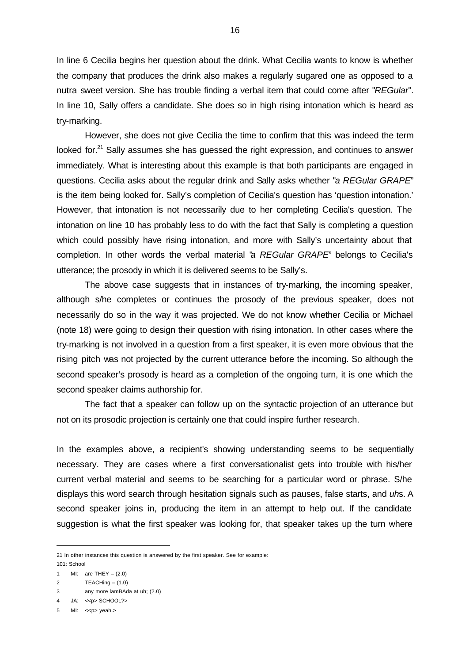In line 6 Cecilia begins her question about the drink. What Cecilia wants to know is whether the company that produces the drink also makes a regularly sugared one as opposed to a nutra sweet version. She has trouble finding a verbal item that could come after "*REGular*". In line 10, Sally offers a candidate. She does so in high rising intonation which is heard as try-marking.

However, she does not give Cecilia the time to confirm that this was indeed the term looked for.<sup>21</sup> Sally assumes she has guessed the right expression, and continues to answer immediately. What is interesting about this example is that both participants are engaged in questions. Cecilia asks about the regular drink and Sally asks whether "*a REGular GRAPE*" is the item being looked for. Sally's completion of Cecilia's question has 'question intonation.' However, that intonation is not necessarily due to her completing Cecilia's question. The intonation on line 10 has probably less to do with the fact that Sally is completing a question which could possibly have rising intonation, and more with Sally's uncertainty about that completion. In other words the verbal material "*a REGular GRAPE*" belongs to Cecilia's utterance; the prosody in which it is delivered seems to be Sally's.

The above case suggests that in instances of try-marking, the incoming speaker, although s/he completes or continues the prosody of the previous speaker, does not necessarily do so in the way it was projected. We do not know whether Cecilia or Michael (note 18) were going to design their question with rising intonation. In other cases where the try-marking is not involved in a question from a first speaker, it is even more obvious that the rising pitch was not projected by the current utterance before the incoming. So although the second speaker's prosody is heard as a completion of the ongoing turn, it is one which the second speaker claims authorship for.

The fact that a speaker can follow up on the syntactic projection of an utterance but not on its prosodic projection is certainly one that could inspire further research.

In the examples above, a recipient's showing understanding seems to be sequentially necessary. They are cases where a first conversationalist gets into trouble with his/her current verbal material and seems to be searching for a particular word or phrase. S/he displays this word search through hesitation signals such as pauses, false starts, and *uh*s. A second speaker joins in, producing the item in an attempt to help out. If the candidate suggestion is what the first speaker was looking for, that speaker takes up the turn where

<sup>21</sup> In other instances this question is answered by the first speaker. See for example: 101: School

<sup>1</sup> MI: are THEY – (2.0)

<sup>2</sup> TEACHing – (1.0)

<sup>3</sup> any more lamBAda at uh; (2.0)

<sup>4</sup> JA: <<p> SCHOOL?>

 $5$  MI:  $\leq$  yeah.>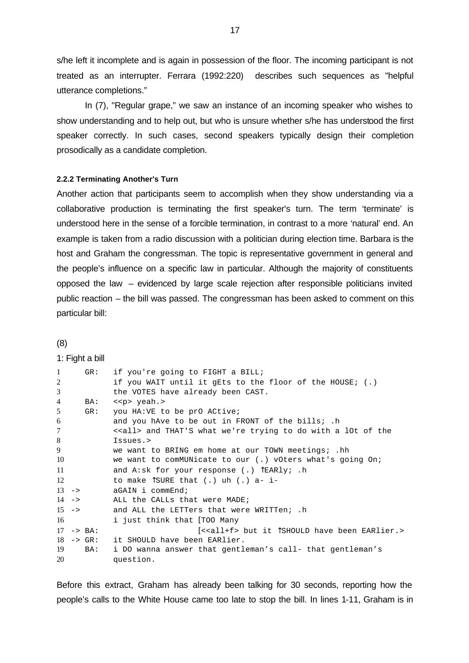s/he left it incomplete and is again in possession of the floor. The incoming participant is not treated as an interrupter. Ferrara (1992:220) describes such sequences as "helpful utterance completions."

In (7), "Regular grape," we saw an instance of an incoming speaker who wishes to show understanding and to help out, but who is unsure whether s/he has understood the first speaker correctly. In such cases, second speakers typically design their completion prosodically as a candidate completion.

#### **2.2.2 Terminating Another's Turn**

Another action that participants seem to accomplish when they show understanding via a collaborative production is terminating the first speaker's turn. The term 'terminate' is understood here in the sense of a forcible termination, in contrast to a more 'natural' end. An example is taken from a radio discussion with a politician during election time. Barbara is the host and Graham the congressman. The topic is representative government in general and the people's influence on a specific law in particular. Although the majority of constituents opposed the law – evidenced by large scale rejection after responsible politicians invited public reaction – the bill was passed. The congressman has been asked to comment on this particular bill:

#### (8)

#### 1: Fight a bill

| $\mathbf{1}$   | GR:                          | if you're going to FIGHT a BILL;                                   |
|----------------|------------------------------|--------------------------------------------------------------------|
| 2              |                              | if you WAIT until it gEts to the floor of the HOUSE; $(.)$         |
| 3              |                              |                                                                    |
|                |                              | the VOTES have already been CAST.                                  |
| $\overline{4}$ | BA:                          | < <p> yeah.&gt;</p>                                                |
| 5              | GR:                          | you HA: VE to be prO ACtive;                                       |
| 6              |                              | and you have to be out in FRONT of the bills; .h                   |
| $\tau$         |                              | < <all> and THAT'S what we're trying to do with a lOt of the</all> |
| 8              |                              | Issues.>                                                           |
| 9              |                              | we want to BRING em home at our TOWN meetings; .hh                 |
| 10             |                              | we want to comMUNicate to our $(.)$ vOters what's going On;        |
| 11             |                              | and A:sk for your response (.) $T^{ERly}$ .h                       |
| 12             |                              | to make $\int$ SURE that (.) uh (.) a- i-                          |
|                | $13 \rightarrow$             | $aGAIN$ i commEnd;                                                 |
|                | $14 \rightarrow$             | ALL the CALLs that were MADE;                                      |
|                | $15 - \ge$                   | and ALL the LETTers that were WRITTen; .h                          |
| 16             |                              | i just think that [TOO Many                                        |
|                | $17 \rightarrow BA$ :        | [< <all+f> but it TSHOULD have been EARlier.&gt;</all+f>           |
|                | $18 \rightarrow \text{GR}$ : | it SHOULD have been EARlier.                                       |
| 19             | BA:                          | i DO wanna answer that gentleman's call- that gentleman's          |
| 20             |                              | question.                                                          |

Before this extract, Graham has already been talking for 30 seconds, reporting how the people's calls to the White House came too late to stop the bill. In lines 1-11, Graham is in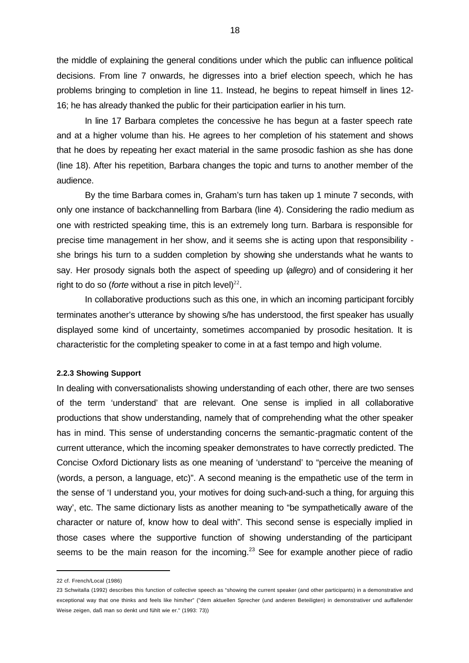the middle of explaining the general conditions under which the public can influence political decisions. From line 7 onwards, he digresses into a brief election speech, which he has problems bringing to completion in line 11. Instead, he begins to repeat himself in lines 12- 16; he has already thanked the public for their participation earlier in his turn.

In line 17 Barbara completes the concessive he has begun at a faster speech rate and at a higher volume than his. He agrees to her completion of his statement and shows that he does by repeating her exact material in the same prosodic fashion as she has done (line 18). After his repetition, Barbara changes the topic and turns to another member of the audience.

By the time Barbara comes in, Graham's turn has taken up 1 minute 7 seconds, with only one instance of backchannelling from Barbara (line 4). Considering the radio medium as one with restricted speaking time, this is an extremely long turn. Barbara is responsible for precise time management in her show, and it seems she is acting upon that responsibility she brings his turn to a sudden completion by showing she understands what he wants to say. Her prosody signals both the aspect of speeding up (*allegro*) and of considering it her right to do so (*forte* without a rise in pitch level) $22$ .

In collaborative productions such as this one, in which an incoming participant forcibly terminates another's utterance by showing s/he has understood, the first speaker has usually displayed some kind of uncertainty, sometimes accompanied by prosodic hesitation. It is characteristic for the completing speaker to come in at a fast tempo and high volume.

#### **2.2.3 Showing Support**

In dealing with conversationalists showing understanding of each other, there are two senses of the term 'understand' that are relevant. One sense is implied in all collaborative productions that show understanding, namely that of comprehending what the other speaker has in mind. This sense of understanding concerns the semantic-pragmatic content of the current utterance, which the incoming speaker demonstrates to have correctly predicted. The Concise Oxford Dictionary lists as one meaning of 'understand' to "perceive the meaning of (words, a person, a language, etc)". A second meaning is the empathetic use of the term in the sense of 'I understand you, your motives for doing such-and-such a thing, for arguing this way', etc. The same dictionary lists as another meaning to "be sympathetically aware of the character or nature of, know how to deal with". This second sense is especially implied in those cases where the supportive function of showing understanding of the participant seems to be the main reason for the incoming.<sup>23</sup> See for example another piece of radio

<sup>22</sup> cf. French/Local (1986)

<sup>23</sup> Schwitalla (1992) describes this function of collective speech as "showing the current speaker (and other participants) in a demonstrative and exceptional way that one thinks and feels like him/her" ("dem aktuellen Sprecher (und anderen Beteiligten) in demonstrativer und auffallender Weise zeigen, daß man so denkt und fühlt wie er." (1993: 73))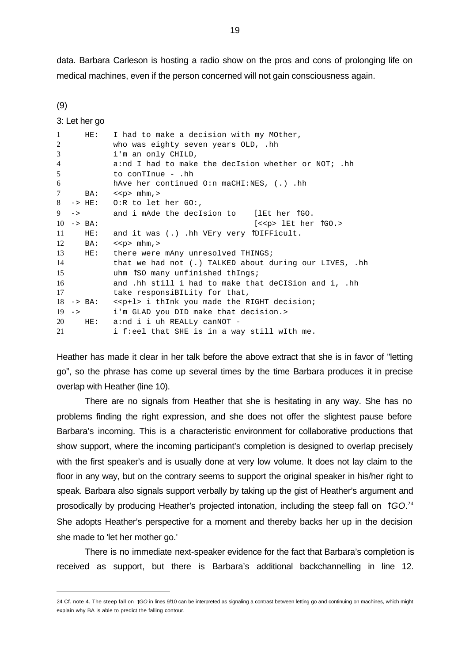data. Barbara Carleson is hosting a radio show on the pros and cons of prolonging life on medical machines, even if the person concerned will not gain consciousness again.

(9)

l

3: Let her go

| $\mathbf{1}$   | HE:                   | I had to make a decision with my MOther,               |
|----------------|-----------------------|--------------------------------------------------------|
| $\overline{2}$ |                       | who was eighty seven years OLD, .hh                    |
| 3              |                       | i'm an only CHILD,                                     |
| $\overline{4}$ |                       | a:nd I had to make the decIsion whether or NOT; .hh    |
| 5              |                       | to con $T$ Inue - .hh                                  |
| 6              |                       | hAve her continued $0:n$ maCHI:NES, $(.)$ .hh          |
| 7              |                       | $BA:$ << p> $mhm$ , >                                  |
| 8              |                       | $\rightarrow$ HE: $\circ$ O:R to let her GO:,          |
| 9              | $\rightarrow$         | and i mAde the decIsion to $[1Et her \hat{G}0.$        |
|                | $10 \rightarrow BA$ : | $[sp>1Et her \int GO.>$                                |
| 11             | HE:                   | and it was (.) .hh VEry very TDIFFicult.               |
| 12             | BA:                   | $\langle p \rangle$ mhm, $>$                           |
| 13             |                       | HE: there were mAny unresolved THINGS;                 |
| 14             |                       | that we had not (.) TALKED about during our LIVES, .hh |
| 15             |                       | uhm 1SO many unfinished thIngs;                        |
| 16             |                       | and .hh still i had to make that deCISion and i, .hh   |
| 17             |                       | take responsiBILity for that,                          |
|                |                       | 18 -> BA: < p+1> i thInk you made the RIGHT decision;  |
|                | $19 - >$              | i'm GLAD you DID make that decision.>                  |
| 20             |                       | HE: a:nd i i uh REALLy canNOT -                        |
| 21             |                       | i f:eel that SHE is in a way still wIth me.            |

Heather has made it clear in her talk before the above extract that she is in favor of "letting go", so the phrase has come up several times by the time Barbara produces it in precise overlap with Heather (line 10).

There are no signals from Heather that she is hesitating in any way. She has no problems finding the right expression, and she does not offer the slightest pause before Barbara's incoming. This is a characteristic environment for collaborative productions that show support, where the incoming participant's completion is designed to overlap precisely with the first speaker's and is usually done at very low volume. It does not lay claim to the floor in any way, but on the contrary seems to support the original speaker in his/her right to speak. Barbara also signals support verbally by taking up the gist of Heather's argument and prosodically by producing Heather's projected intonation, including the steep fall on *-GO*. 24 She adopts Heather's perspective for a moment and thereby backs her up in the decision she made to 'let her mother go.'

There is no immediate next-speaker evidence for the fact that Barbara's completion is received as support, but there is Barbara's additional backchannelling in line 12.

<sup>24</sup> Cf. note 4. The steep fall on ↑*GO* in lines 9/10 can be interpreted as signaling a contrast between letting go and continuing on machines, which might explain why BA is able to predict the falling contour.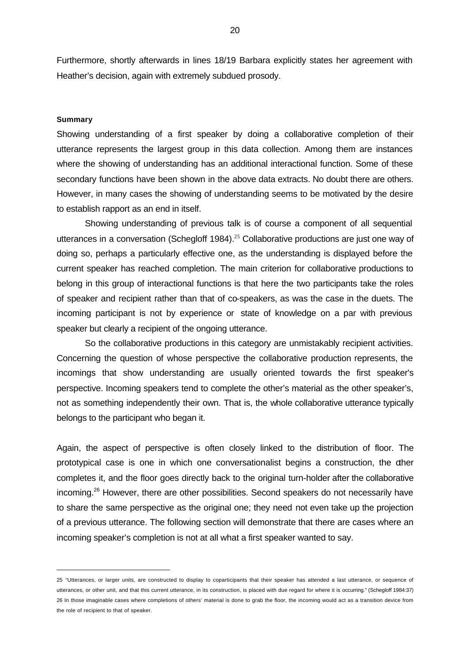Furthermore, shortly afterwards in lines 18/19 Barbara explicitly states her agreement with Heather's decision, again with extremely subdued prosody.

#### **Summary**

l

Showing understanding of a first speaker by doing a collaborative completion of their utterance represents the largest group in this data collection. Among them are instances where the showing of understanding has an additional interactional function. Some of these secondary functions have been shown in the above data extracts. No doubt there are others. However, in many cases the showing of understanding seems to be motivated by the desire to establish rapport as an end in itself.

Showing understanding of previous talk is of course a component of all sequential utterances in a conversation (Schegloff 1984).<sup>25</sup> Collaborative productions are just one way of doing so, perhaps a particularly effective one, as the understanding is displayed before the current speaker has reached completion. The main criterion for collaborative productions to belong in this group of interactional functions is that here the two participants take the roles of speaker and recipient rather than that of co-speakers, as was the case in the duets. The incoming participant is not by experience or state of knowledge on a par with previous speaker but clearly a recipient of the ongoing utterance.

So the collaborative productions in this category are unmistakably recipient activities. Concerning the question of whose perspective the collaborative production represents, the incomings that show understanding are usually oriented towards the first speaker's perspective. Incoming speakers tend to complete the other's material as the other speaker's, not as something independently their own. That is, the whole collaborative utterance typically belongs to the participant who began it.

Again, the aspect of perspective is often closely linked to the distribution of floor. The prototypical case is one in which one conversationalist begins a construction, the dher completes it, and the floor goes directly back to the original turn-holder after the collaborative incoming.<sup>26</sup> However, there are other possibilities. Second speakers do not necessarily have to share the same perspective as the original one; they need not even take up the projection of a previous utterance. The following section will demonstrate that there are cases where an incoming speaker's completion is not at all what a first speaker wanted to say.

<sup>25 &</sup>quot;Utterances, or larger units, are constructed to display to coparticipants that their speaker has attended a last utterance, or sequence of utterances, or other unit, and that this current utterance, in its construction, is placed with due regard for where it is occurring." (Schegloff 1984:37) 26 In those imaginable cases where completions of others' material is done to grab the floor, the incoming would act as a transition device from the role of recipient to that of speaker.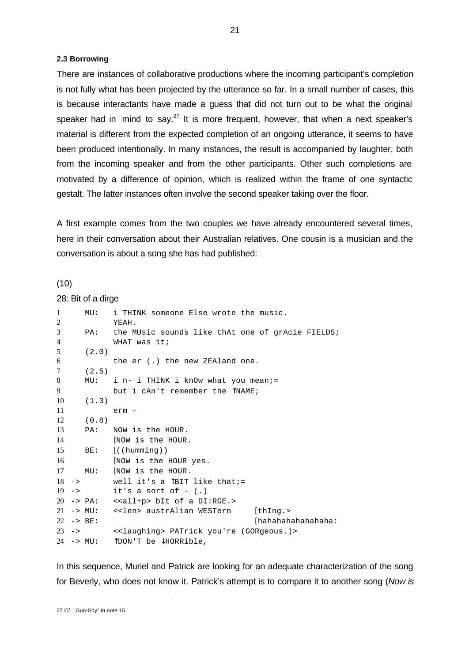#### **2.3 Borrowing**

There are instances of collaborative productions where the incoming participant's completion is not fully what has been projected by the utterance so far. In a small number of cases, this is because interactants have made a guess that did not turn out to be what the original speaker had in mind to say.<sup>27</sup> It is more frequent, however, that when a next speaker's material is different from the expected completion of an ongoing utterance, it seems to have been produced intentionally. In many instances, the result is accompanied by laughter, both from the incoming speaker and from the other participants. Other such completions are motivated by a difference of opinion, which is realized within the frame of one syntactic gestalt. The latter instances often involve the second speaker taking over the floor.

A first example comes from the two couples we have already encountered several times, here in their conversation about their Australian relatives. One cousin is a musician and the conversation is about a song she has had published:

(10)

28: Bit of a dirge

| $\mathbf{1}$   |          | MU:                   | i THINK someone Else wrote the music.                  |
|----------------|----------|-----------------------|--------------------------------------------------------|
| $\overline{c}$ |          |                       | YEAH.                                                  |
| 3              |          | PA:                   | the MUsic sounds like thAt one of grAcie FIELDS;       |
| $\overline{4}$ |          |                       | WHAT was it;                                           |
| 5              |          | (2.0)                 |                                                        |
| 6              |          |                       | the $er$ (.) the new ZEAland one.                      |
| $\tau$         |          | (2.5)                 |                                                        |
| 8              |          | MU:                   | i n- i THINK i knOw what you mean;=                    |
| 9              |          |                       | but i cAn't remember the TNAME;                        |
| 10             |          | (1.3)                 |                                                        |
| 11             |          |                       | $erm -$                                                |
| 12             |          | (0.8)                 |                                                        |
| 13             |          |                       | PA: NOW is the HOUR.                                   |
| 14             |          |                       | [NOW is the HOUR.                                      |
| 15             |          | BE:                   | [((humming))                                           |
| 16             |          |                       | [NOW is the HOUR yes.                                  |
| 17             |          | MU:                   | NOW is the HOUR.                                       |
|                |          |                       | $18 \rightarrow$ well it's a $\hat{B}$ IT like that;=  |
|                |          | $19 - \ge 1$          | it's a sort of $-$ (.)                                 |
|                |          |                       | $20$ -> PA: < <all+p> bIt of a DI:RGE.&gt;</all+p>     |
|                |          | $21 \rightarrow MU$ : | < <len> austrAlian WESTern<br/>[thInq.</len>           |
|                |          | $22 \rightarrow BE:$  | [hahahahahahaha:                                       |
|                | $23 - 5$ |                       | < <laughing> PATrick you're (GORgeous.)&gt;</laughing> |
|                |          | $24 - > MU$ :         | TDON'T be $\downarrow$ HORRible,                       |

In this sequence, Muriel and Patrick are looking for an adequate characterization of the song for Beverly, who does not know it. Patrick's attempt is to compare it to another song (*Now is* 

<sup>27</sup> Cf. "Gun-Shy" in note 15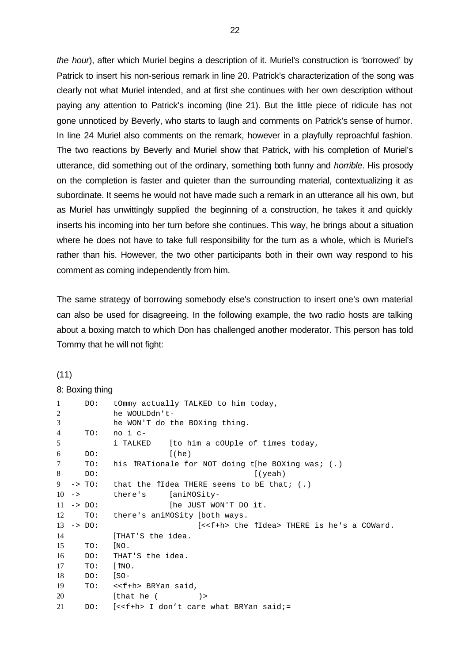*the hour*), after which Muriel begins a description of it. Muriel's construction is 'borrowed' by Patrick to insert his non-serious remark in line 20. Patrick's characterization of the song was clearly not what Muriel intended, and at first she continues with her own description without paying any attention to Patrick's incoming (line 21). But the little piece of ridicule has not gone unnoticed by Beverly, who starts to laugh and comments on Patrick's sense of humor.. In line 24 Muriel also comments on the remark, however in a playfully reproachful fashion. The two reactions by Beverly and Muriel show that Patrick, with his completion of Muriel's utterance, did something out of the ordinary, something both funny and *horrible*. His prosody on the completion is faster and quieter than the surrounding material, contextualizing it as subordinate. It seems he would not have made such a remark in an utterance all his own, but as Muriel has unwittingly supplied the beginning of a construction, he takes it and quickly inserts his incoming into her turn before she continues. This way, he brings about a situation where he does not have to take full responsibility for the turn as a whole, which is Muriel's rather than his. However, the two other participants both in their own way respond to his comment as coming independently from him.

The same strategy of borrowing somebody else's construction to insert one's own material can also be used for disagreeing. In the following example, the two radio hosts are talking about a boxing match to which Don has challenged another moderator. This person has told Tommy that he will not fight:

#### (11)

#### 8: Boxing thing

| $\mathbf{1}$   |          | DO:                   | tOmmy actually TALKED to him today,                                                                                   |  |  |  |  |
|----------------|----------|-----------------------|-----------------------------------------------------------------------------------------------------------------------|--|--|--|--|
| 2              |          |                       | he WOULDdn't-                                                                                                         |  |  |  |  |
| $\mathfrak{Z}$ |          |                       | he WON'T do the BOXing thing.                                                                                         |  |  |  |  |
| $\overline{4}$ |          | TO:                   | no i c-                                                                                                               |  |  |  |  |
| 5              |          |                       | (to him a cOUple of times today,<br>i TALKED                                                                          |  |  |  |  |
| 6              |          | DO:                   | (he)                                                                                                                  |  |  |  |  |
| $\tau$         |          |                       | TO: his TRATionale for NOT doing t[he BOXing was; (.)                                                                 |  |  |  |  |
| 8              |          | DO:                   | (yeah)                                                                                                                |  |  |  |  |
| 9              |          |                       | -> TO: that the $\int$ Idea THERE seems to bE that; (.)                                                               |  |  |  |  |
|                | $10 - >$ |                       | there's<br>[aniMOSity-                                                                                                |  |  |  |  |
|                |          | $11 \rightarrow Do:$  | [he JUST WON'T DO it.                                                                                                 |  |  |  |  |
| 12             |          |                       | TO: there's aniMOSity [both ways.                                                                                     |  |  |  |  |
|                |          | $13 \rightarrow DO$ : | $\left[ \langle \langle f+h \rangle \rangle \right]$ the $\left[ \text{Ide}a \rangle \right]$ THERE is he's a COWard. |  |  |  |  |
| 14             |          |                       | [THAT'S the idea.                                                                                                     |  |  |  |  |
| 15             |          | TO:                   | [NO.]                                                                                                                 |  |  |  |  |
| 16             |          | DO:                   | THAT'S the idea.                                                                                                      |  |  |  |  |
| 17             |          | $TO:$ $[\hat{N}0.$    |                                                                                                                       |  |  |  |  |
| 18             |          | DO: [SO-              |                                                                                                                       |  |  |  |  |
| 19             |          |                       | TO: << f+h> BRYan said,                                                                                               |  |  |  |  |
| 20             |          |                       | [that he (<br>$\geq$                                                                                                  |  |  |  |  |
| 21             |          | DO:                   | $[<$ I don't care what BRYan said;=                                                                                   |  |  |  |  |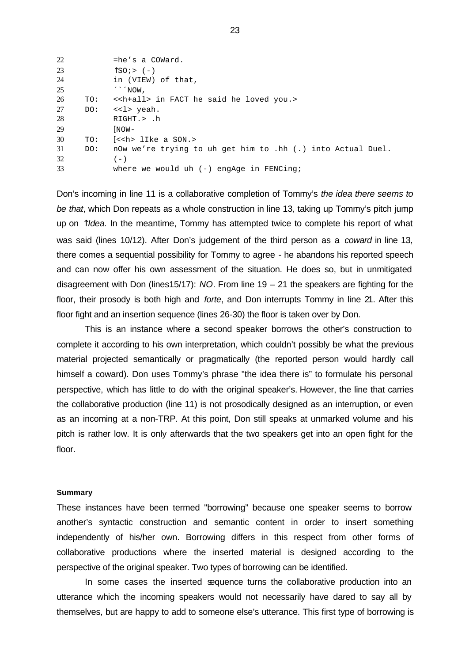| 22 |     | $=he's$ a COWard.                                                     |
|----|-----|-----------------------------------------------------------------------|
| 23 |     | $\text{S0}:>(-)$                                                      |
| 24 |     | in (VIEW) of that,                                                    |
| 25 |     | $\hat{N}$ $\hat{N}$ $\hat{N}$                                         |
| 26 |     | TO: << h+all> in FACT he said he loved you.>                          |
| 27 | DO: | < <l> yeah.</l>                                                       |
| 28 |     | RIGHT. > .h                                                           |
| 29 |     | $NOW-$                                                                |
| 30 | TO: | [< <h> līke a SON.&gt;</h>                                            |
| 31 | DO: | nOw we're trying to uh get him to .hh $( \, . \, )$ into Actual Duel. |
| 32 |     | $(-)$                                                                 |
| 33 |     | where we would uh $(-)$ engAge in FENCing;                            |

Don's incoming in line 11 is a collaborative completion of Tommy's *the idea there seems to be that*, which Don repeats as a whole construction in line 13, taking up Tommy's pitch jump up on *-Idea*. In the meantime, Tommy has attempted twice to complete his report of what was said (lines 10/12). After Don's judgement of the third person as a *coward* in line 13, there comes a sequential possibility for Tommy to agree - he abandons his reported speech and can now offer his own assessment of the situation. He does so, but in unmitigated disagreement with Don (lines15/17): *NO*. From line 19 – 21 the speakers are fighting for the floor, their prosody is both high and *forte*, and Don interrupts Tommy in line 21. After this floor fight and an insertion sequence (lines 26-30) the floor is taken over by Don.

This is an instance where a second speaker borrows the other's construction to complete it according to his own interpretation, which couldn't possibly be what the previous material projected semantically or pragmatically (the reported person would hardly call himself a coward). Don uses Tommy's phrase "the idea there is" to formulate his personal perspective, which has little to do with the original speaker's. However, the line that carries the collaborative production (line 11) is not prosodically designed as an interruption, or even as an incoming at a non-TRP. At this point, Don still speaks at unmarked volume and his pitch is rather low. It is only afterwards that the two speakers get into an open fight for the floor.

#### **Summary**

These instances have been termed "borrowing" because one speaker seems to borrow another's syntactic construction and semantic content in order to insert something independently of his/her own. Borrowing differs in this respect from other forms of collaborative productions where the inserted material is designed according to the perspective of the original speaker. Two types of borrowing can be identified.

In some cases the inserted sequence turns the collaborative production into an utterance which the incoming speakers would not necessarily have dared to say all by themselves, but are happy to add to someone else's utterance. This first type of borrowing is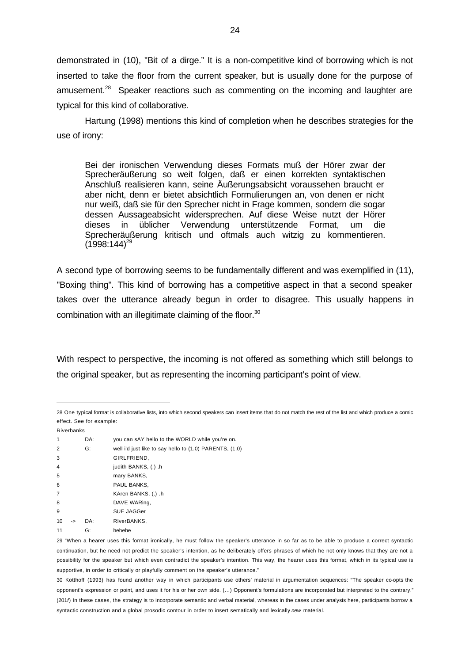demonstrated in (10), "Bit of a dirge." It is a non-competitive kind of borrowing which is not inserted to take the floor from the current speaker, but is usually done for the purpose of amusement.<sup>28</sup> Speaker reactions such as commenting on the incoming and laughter are typical for this kind of collaborative.

Hartung (1998) mentions this kind of completion when he describes strategies for the use of irony:

Bei der ironischen Verwendung dieses Formats muß der Hörer zwar der Sprecheräußerung so weit folgen, daß er einen korrekten syntaktischen Anschluß realisieren kann, seine Äußerungsabsicht voraussehen braucht er aber nicht, denn er bietet absichtlich Formulierungen an, von denen er nicht nur weiß, daß sie für den Sprecher nicht in Frage kommen, sondern die sogar dessen Aussageabsicht widersprechen. Auf diese Weise nutzt der Hörer dieses in üblicher Verwendung unterstützende Format, um die Sprecheräußerung kritisch und oftmals auch witzig zu kommentieren.  $(1998:144)^{29}$ 

A second type of borrowing seems to be fundamentally different and was exemplified in (11), "Boxing thing". This kind of borrowing has a competitive aspect in that a second speaker takes over the utterance already begun in order to disagree. This usually happens in combination with an illegitimate claiming of the floor.<sup>30</sup>

With respect to perspective, the incoming is not offered as something which still belongs to the original speaker, but as representing the incoming participant's point of view.

Riverbanks

l

| $\mathbf{1}$   |    | DA: | you can sAY hello to the WORLD while you're on.         |
|----------------|----|-----|---------------------------------------------------------|
| 2              |    | G:  | well i'd just like to say hello to (1.0) PARENTS, (1.0) |
| 3              |    |     | GIRLFRIEND,                                             |
| $\overline{4}$ |    |     | judith BANKS, (.) .h                                    |
| 5              |    |     | mary BANKS,                                             |
| 6              |    |     | PAUL BANKS,                                             |
| $\overline{7}$ |    |     | KAren BANKS, (.) .h                                     |
| 8              |    |     | DAVE WARing,                                            |
| 9              |    |     | <b>SUE JAGGer</b>                                       |
| 10             | -> | DA: | RIverBANKS,                                             |
| 11             |    | G:  | hehehe                                                  |

29 "When a hearer uses this format ironically, he must follow the speaker's utterance in so far as to be able to produce a correct syntactic continuation, but he need not predict the speaker's intention, as he deliberately offers phrases of which he not only knows that they are not a possibility for the speaker but which even contradict the speaker's intention. This way, the hearer uses this format, which in its typical use is supportive, in order to critically or playfully comment on the speaker's utterance."

30 Kotthoff (1993) has found another way in which participants use others' material in argumentation sequences: "The speaker co-opts the opponent's expression or point, and uses it for his or her own side. (…) Opponent's formulations are incorporated but interpreted to the contrary." (201*f*) In these cases, the strategy is to incorporate semantic and verbal material, whereas in the cases under analysis here, participants borrow a syntactic construction and a global prosodic contour in order to insert sematically and lexically *new* material.

<sup>28</sup> One typical format is collaborative lists, into which second speakers can insert items that do not match the rest of the list and which produce a comic effect. See for example: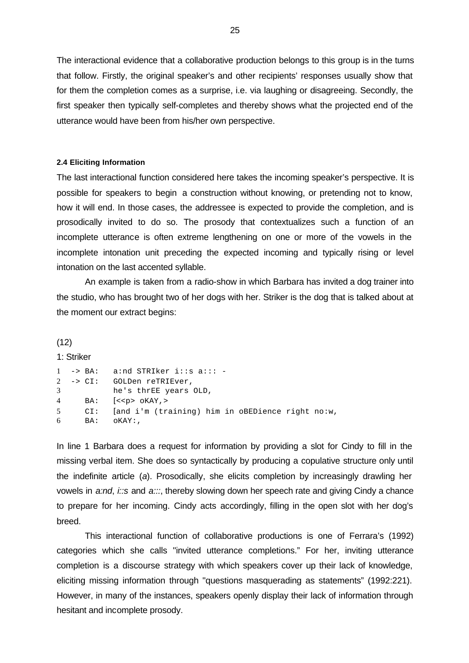The interactional evidence that a collaborative production belongs to this group is in the turns that follow. Firstly, the original speaker's and other recipients' responses usually show that for them the completion comes as a surprise, i.e. via laughing or disagreeing. Secondly, the first speaker then typically self-completes and thereby shows what the projected end of the utterance would have been from his/her own perspective.

#### **2.4 Eliciting Information**

The last interactional function considered here takes the incoming speaker's perspective. It is possible for speakers to begin a construction without knowing, or pretending not to know, how it will end. In those cases, the addressee is expected to provide the completion, and is prosodically invited to do so. The prosody that contextualizes such a function of an incomplete utterance is often extreme lengthening on one or more of the vowels in the incomplete intonation unit preceding the expected incoming and typically rising or level intonation on the last accented syllable.

An example is taken from a radio-show in which Barbara has invited a dog trainer into the studio, who has brought two of her dogs with her. Striker is the dog that is talked about at the moment our extract begins:

## (12)

|   | 1: Striker      |                                                                  |
|---|-----------------|------------------------------------------------------------------|
|   |                 | $1 \rightarrow BA$ : aind STRIker i: s a: :: -                   |
|   |                 | $2 \rightarrow CI$ : GOLDen reTRIEver,                           |
| 3 |                 | he's thrEE years OLD,                                            |
|   |                 | 4 BA: $\left[ \langle \langle p \rangle \rangle \right]$ okay, > |
|   | $6$ BA: $OKAY:$ | 5 CI: [and i'm (training) him in oBEDience right no:w,           |

In line 1 Barbara does a request for information by providing a slot for Cindy to fill in the missing verbal item. She does so syntactically by producing a copulative structure only until the indefinite article (*a*). Prosodically, she elicits completion by increasingly drawling her vowels in *a:nd*, *i::s* and *a:::*, thereby slowing down her speech rate and giving Cindy a chance to prepare for her incoming. Cindy acts accordingly, filling in the open slot with her dog's breed.

This interactional function of collaborative productions is one of Ferrara's (1992) categories which she calls "invited utterance completions." For her, inviting utterance completion is a discourse strategy with which speakers cover up their lack of knowledge, eliciting missing information through "questions masquerading as statements" (1992:221). However, in many of the instances, speakers openly display their lack of information through hesitant and incomplete prosody.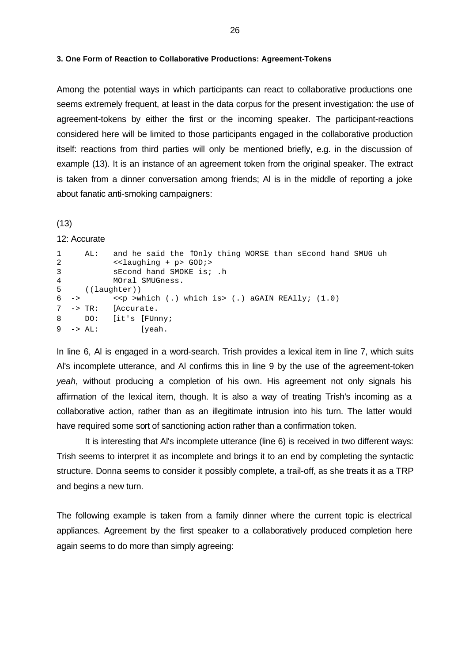#### **3. One Form of Reaction to Collaborative Productions: Agreement-Tokens**

Among the potential ways in which participants can react to collaborative productions one seems extremely frequent, at least in the data corpus for the present investigation: the use of agreement-tokens by either the first or the incoming speaker. The participant-reactions considered here will be limited to those participants engaged in the collaborative production itself: reactions from third parties will only be mentioned briefly, e.g. in the discussion of example (13). It is an instance of an agreement token from the original speaker. The extract is taken from a dinner conversation among friends; Al is in the middle of reporting a joke about fanatic anti-smoking campaigners:

#### (13)

#### 12: Accurate

|                                    | AL: | and he said the 10nly thing WORSE than sEcond hand SMUG uh                           |  |
|------------------------------------|-----|--------------------------------------------------------------------------------------|--|
|                                    |     | $\le$ laughing + p> GOD;>                                                            |  |
|                                    |     | sEcond hand SMOKE is; .h                                                             |  |
| $4\overline{ }$<br>MOral SMUGness. |     |                                                                                      |  |
|                                    |     |                                                                                      |  |
|                                    |     | $6 \rightarrow$ < <p>which (.) which is&gt; (.) aGAIN REAlly; <math>(1.0)</math></p> |  |
|                                    |     | $7 \rightarrow \text{TR}$ : [Accurate.                                               |  |
|                                    |     | 8 DO: [it's [FUnny;                                                                  |  |
|                                    |     | [yeah.                                                                               |  |
|                                    |     | 5 ((laughter))<br>$9 \rightarrow AL$ :                                               |  |

In line 6, Al is engaged in a word-search. Trish provides a lexical item in line 7, which suits Al's incomplete utterance, and Al confirms this in line 9 by the use of the agreement-token *yeah*, without producing a completion of his own. His agreement not only signals his affirmation of the lexical item, though. It is also a way of treating Trish's incoming as a collaborative action, rather than as an illegitimate intrusion into his turn. The latter would have required some sort of sanctioning action rather than a confirmation token.

It is interesting that Al's incomplete utterance (line 6) is received in two different ways: Trish seems to interpret it as incomplete and brings it to an end by completing the syntactic structure. Donna seems to consider it possibly complete, a trail-off, as she treats it as a TRP and begins a new turn.

The following example is taken from a family dinner where the current topic is electrical appliances. Agreement by the first speaker to a collaboratively produced completion here again seems to do more than simply agreeing: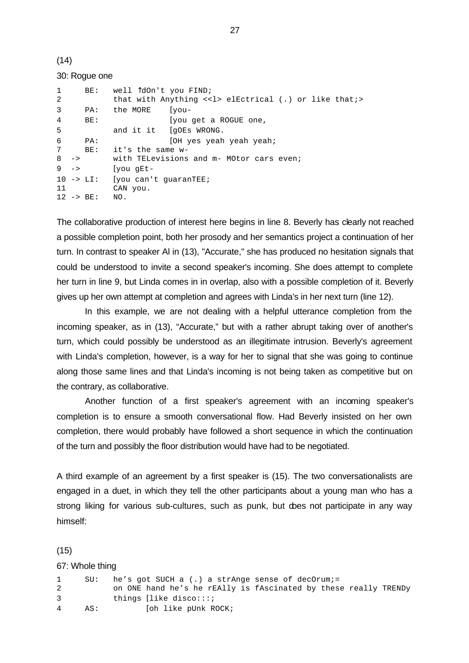#### $(14)$

|                   |               | 30: Rogue one |                                  |                                                        |
|-------------------|---------------|---------------|----------------------------------|--------------------------------------------------------|
| $\mathbf{1}$<br>2 |               | BE:           | well TdOn't you FIND;            | that with Anything << l> elEctrical (.) or like that;> |
| 3                 |               |               | PA: the MORE                     | [you-                                                  |
| $\overline{4}$    |               | BE:           |                                  | [you get a ROGUE one,                                  |
| 5                 |               |               | and it it [qOEs WRONG.           |                                                        |
| 6                 |               | PA:           |                                  | OH yes yeah yeah yeah;                                 |
| 7                 |               | BE:           | it's the same w-                 |                                                        |
| 8                 | $\rightarrow$ |               |                                  | with TELevisions and m- MOtor cars even;               |
| 9                 | $\rightarrow$ |               | [you qEt-                        |                                                        |
| 11                |               | $10 ->$ LI:   | you can't quaranTEE;<br>CAN you. |                                                        |
|                   |               | $12 - > BE$ : | NO.                              |                                                        |

The collaborative production of interest here begins in line 8. Beverly has clearly not reached a possible completion point, both her prosody and her semantics project a continuation of her turn. In contrast to speaker Al in (13), "Accurate," she has produced no hesitation signals that could be understood to invite a second speaker's incoming. She does attempt to complete her turn in line 9, but Linda comes in in overlap, also with a possible completion of it. Beverly gives up her own attempt at completion and agrees with Linda's in her next turn (line 12).

In this example, we are not dealing with a helpful utterance completion from the incoming speaker, as in (13), "Accurate," but with a rather abrupt taking over of another's turn, which could possibly be understood as an illegitimate intrusion. Beverly's agreement with Linda's completion, however, is a way for her to signal that she was going to continue along those same lines and that Linda's incoming is not being taken as competitive but on the contrary, as collaborative.

Another function of a first speaker's agreement with an incoming speaker's completion is to ensure a smooth conversational flow. Had Beverly insisted on her own completion, there would probably have followed a short sequence in which the continuation of the turn and possibly the floor distribution would have had to be negotiated.

A third example of an agreement by a first speaker is (15). The two conversationalists are engaged in a duet, in which they tell the other participants about a young man who has a strong liking for various sub-cultures, such as punk, but does not participate in any way himself:

#### (15)

#### 67: Whole thing

|   |     | SU: he's got SUCH a $(.)$ a strAnge sense of decOrum;=          |
|---|-----|-----------------------------------------------------------------|
|   |     | on ONE hand he's he rEAlly is fAscinated by these really TRENDy |
| 3 |     | things [like disco:::;                                          |
| 4 | AS: | [oh like pUnk ROCK;                                             |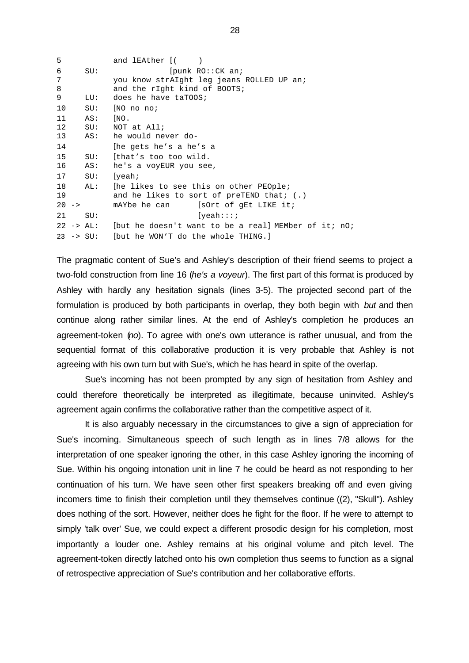| 5  |          |                       | and lEAther [(                                      |
|----|----------|-----------------------|-----------------------------------------------------|
| 6  |          | SU:                   | [punkt R0::CK an;                                   |
| 7  |          |                       | you know strAIght leg jeans ROLLED UP an;           |
| 8  |          |                       | and the right kind of BOOTS;                        |
| 9  |          | LU:                   | does he have taTOOS;                                |
| 10 |          | SU:                   | NO no no;                                           |
| 11 |          | AS:                   | $\sqrt{\text{NO}}$ .                                |
| 12 |          | SU:                   | NOT at All;                                         |
| 13 |          | AS:                   | he would never do-                                  |
| 14 |          |                       | [he gets he's a he's a                              |
| 15 |          | SU:                   | [that's too too wild.                               |
| 16 |          | AS:                   | he's a voyEUR you see,                              |
| 17 |          | SU:                   | [veah]                                              |
| 18 |          | AL:                   | The likes to see this on other PEOple;              |
| 19 |          |                       | and he likes to sort of preTEND that; (.)           |
|    | $20 - >$ |                       | mAYbe he can [sort of gEt LIKE it;                  |
| 21 |          | SU:                   | [veah:::                                            |
|    |          | $22 \rightarrow AL$ : | but he doesn't want to be a reall MEMber of it; nO; |
|    |          | $23 \rightarrow SU$   | [but he WON'T do the whole THING.]                  |

The pragmatic content of Sue's and Ashley's description of their friend seems to project a two-fold construction from line 16 (*he's a voyeur*). The first part of this format is produced by Ashley with hardly any hesitation signals (lines 3-5). The projected second part of the formulation is produced by both participants in overlap, they both begin with *but* and then continue along rather similar lines. At the end of Ashley's completion he produces an agreement-token (*no*). To agree with one's own utterance is rather unusual, and from the sequential format of this collaborative production it is very probable that Ashley is not agreeing with his own turn but with Sue's, which he has heard in spite of the overlap.

Sue's incoming has not been prompted by any sign of hesitation from Ashley and could therefore theoretically be interpreted as illegitimate, because uninvited. Ashley's agreement again confirms the collaborative rather than the competitive aspect of it.

It is also arguably necessary in the circumstances to give a sign of appreciation for Sue's incoming. Simultaneous speech of such length as in lines 7/8 allows for the interpretation of one speaker ignoring the other, in this case Ashley ignoring the incoming of Sue. Within his ongoing intonation unit in line 7 he could be heard as not responding to her continuation of his turn. We have seen other first speakers breaking off and even giving incomers time to finish their completion until they themselves continue ((2), "Skull"). Ashley does nothing of the sort. However, neither does he fight for the floor. If he were to attempt to simply 'talk over' Sue, we could expect a different prosodic design for his completion, most importantly a louder one. Ashley remains at his original volume and pitch level. The agreement-token directly latched onto his own completion thus seems to function as a signal of retrospective appreciation of Sue's contribution and her collaborative efforts.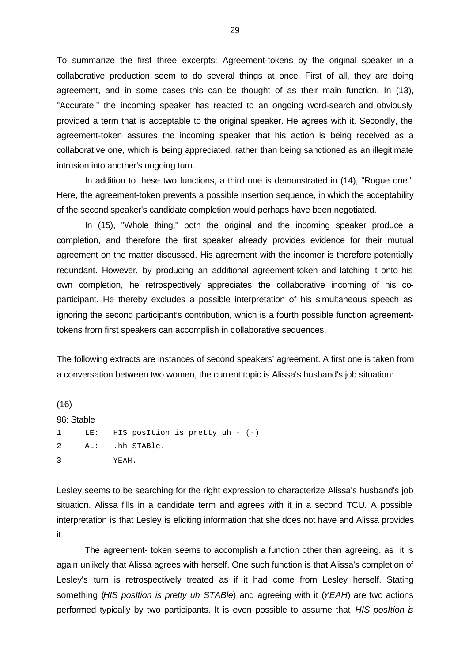To summarize the first three excerpts: Agreement-tokens by the original speaker in a collaborative production seem to do several things at once. First of all, they are doing agreement, and in some cases this can be thought of as their main function. In (13), "Accurate," the incoming speaker has reacted to an ongoing word-search and obviously provided a term that is acceptable to the original speaker. He agrees with it. Secondly, the agreement-token assures the incoming speaker that his action is being received as a collaborative one, which is being appreciated, rather than being sanctioned as an illegitimate intrusion into another's ongoing turn.

In addition to these two functions, a third one is demonstrated in (14), "Rogue one." Here, the agreement-token prevents a possible insertion sequence, in which the acceptability of the second speaker's candidate completion would perhaps have been negotiated.

In (15), "Whole thing," both the original and the incoming speaker produce a completion, and therefore the first speaker already provides evidence for their mutual agreement on the matter discussed. His agreement with the incomer is therefore potentially redundant. However, by producing an additional agreement-token and latching it onto his own completion, he retrospectively appreciates the collaborative incoming of his coparticipant. He thereby excludes a possible interpretation of his simultaneous speech as ignoring the second participant's contribution, which is a fourth possible function agreementtokens from first speakers can accomplish in collaborative sequences.

The following extracts are instances of second speakers' agreement. A first one is taken from a conversation between two women, the current topic is Alissa's husband's job situation:

(16) 96: Stable 1 LE: HIS posItion is pretty uh - (-) 2 AL: .hh STABle. 3 YEAH.

Lesley seems to be searching for the right expression to characterize Alissa's husband's job situation. Alissa fills in a candidate term and agrees with it in a second TCU. A possible interpretation is that Lesley is eliciting information that she does not have and Alissa provides it.

The agreement- token seems to accomplish a function other than agreeing, as it is again unlikely that Alissa agrees with herself. One such function is that Alissa's completion of Lesley's turn is retrospectively treated as if it had come from Lesley herself. Stating something (*HIS posItion is pretty uh STABle*) and agreeing with it (*YEAH*) are two actions performed typically by two participants. It is even possible to assume that *HIS posItion is*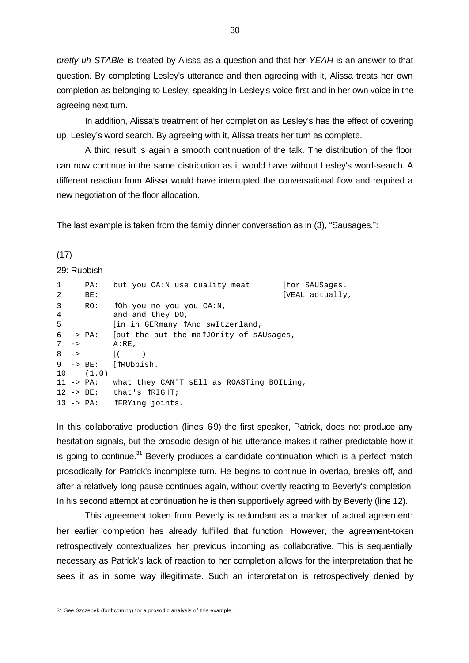*pretty uh STABle* is treated by Alissa as a question and that her *YEAH* is an answer to that question. By completing Lesley's utterance and then agreeing with it, Alissa treats her own completion as belonging to Lesley, speaking in Lesley's voice first and in her own voice in the agreeing next turn.

In addition, Alissa's treatment of her completion as Lesley's has the effect of covering up Lesley's word search. By agreeing with it, Alissa treats her turn as complete.

A third result is again a smooth continuation of the talk. The distribution of the floor can now continue in the same distribution as it would have without Lesley's word-search. A different reaction from Alissa would have interrupted the conversational flow and required a new negotiation of the floor allocation.

The last example is taken from the family dinner conversation as in (3), "Sausages,":

#### (17)

l

#### 29: Rubbish

| 1<br>2          | PA:<br>BE:            | but you CA:N use quality meat                  | [for SAUSages.<br>[VEAL actually, |
|-----------------|-----------------------|------------------------------------------------|-----------------------------------|
| 3<br>4          | RO:                   | Toh you no you you CA:N,<br>and and they DO,   |                                   |
| 5               |                       | [in in GERmany TAnd swItzerland,               |                                   |
| 6               |                       | -> PA: [but the but the malJOrity of sAUsages, |                                   |
|                 | $7 \rightarrow$       | $A:RE$ ,                                       |                                   |
| $8 \rightarrow$ |                       | $\perp$                                        |                                   |
|                 | $9 \rightarrow BE$ :  | [ÎRUbbish.                                     |                                   |
| 10              | (1.0)                 |                                                |                                   |
|                 | $11 \rightarrow PA$ : | what they CAN'T sEll as ROASTing BOILing,      |                                   |
|                 |                       | 12 -> BE: that's $TRIGHT$                      |                                   |
|                 | $13 \rightarrow PA$ : | TFRYing joints.                                |                                   |

In this collaborative production (lines 69) the first speaker, Patrick, does not produce any hesitation signals, but the prosodic design of his utterance makes it rather predictable how it is going to continue.<sup>31</sup> Beverly produces a candidate continuation which is a perfect match prosodically for Patrick's incomplete turn. He begins to continue in overlap, breaks off, and after a relatively long pause continues again, without overtly reacting to Beverly's completion. In his second attempt at continuation he is then supportively agreed with by Beverly (line 12).

This agreement token from Beverly is redundant as a marker of actual agreement: her earlier completion has already fulfilled that function. However, the agreement-token retrospectively contextualizes her previous incoming as collaborative. This is sequentially necessary as Patrick's lack of reaction to her completion allows for the interpretation that he sees it as in some way illegitimate. Such an interpretation is retrospectively denied by

<sup>31</sup> See Szczepek (forthcoming) for a prosodic analysis of this example.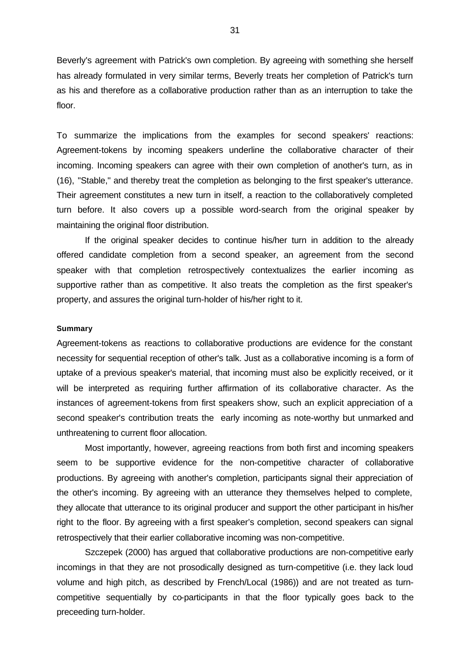Beverly's agreement with Patrick's own completion. By agreeing with something she herself has already formulated in very similar terms, Beverly treats her completion of Patrick's turn as his and therefore as a collaborative production rather than as an interruption to take the floor.

To summarize the implications from the examples for second speakers' reactions: Agreement-tokens by incoming speakers underline the collaborative character of their incoming. Incoming speakers can agree with their own completion of another's turn, as in (16), "Stable," and thereby treat the completion as belonging to the first speaker's utterance. Their agreement constitutes a new turn in itself, a reaction to the collaboratively completed turn before. It also covers up a possible word-search from the original speaker by maintaining the original floor distribution.

If the original speaker decides to continue his/her turn in addition to the already offered candidate completion from a second speaker, an agreement from the second speaker with that completion retrospectively contextualizes the earlier incoming as supportive rather than as competitive. It also treats the completion as the first speaker's property, and assures the original turn-holder of his/her right to it.

#### **Summary**

Agreement-tokens as reactions to collaborative productions are evidence for the constant necessity for sequential reception of other's talk. Just as a collaborative incoming is a form of uptake of a previous speaker's material, that incoming must also be explicitly received, or it will be interpreted as requiring further affirmation of its collaborative character. As the instances of agreement-tokens from first speakers show, such an explicit appreciation of a second speaker's contribution treats the early incoming as note-worthy but unmarked and unthreatening to current floor allocation.

Most importantly, however, agreeing reactions from both first and incoming speakers seem to be supportive evidence for the non-competitive character of collaborative productions. By agreeing with another's completion, participants signal their appreciation of the other's incoming. By agreeing with an utterance they themselves helped to complete, they allocate that utterance to its original producer and support the other participant in his/her right to the floor. By agreeing with a first speaker's completion, second speakers can signal retrospectively that their earlier collaborative incoming was non-competitive.

Szczepek (2000) has argued that collaborative productions are non-competitive early incomings in that they are not prosodically designed as turn-competitive (i.e. they lack loud volume and high pitch, as described by French/Local (1986)) and are not treated as turncompetitive sequentially by co-participants in that the floor typically goes back to the preceeding turn-holder.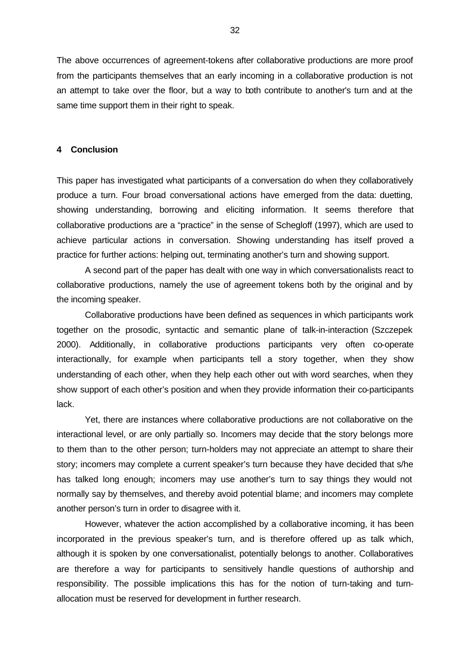The above occurrences of agreement-tokens after collaborative productions are more proof from the participants themselves that an early incoming in a collaborative production is not an attempt to take over the floor, but a way to both contribute to another's turn and at the same time support them in their right to speak.

#### **4 Conclusion**

This paper has investigated what participants of a conversation do when they collaboratively produce a turn. Four broad conversational actions have emerged from the data: duetting, showing understanding, borrowing and eliciting information. It seems therefore that collaborative productions are a "practice" in the sense of Schegloff (1997), which are used to achieve particular actions in conversation. Showing understanding has itself proved a practice for further actions: helping out, terminating another's turn and showing support.

A second part of the paper has dealt with one way in which conversationalists react to collaborative productions, namely the use of agreement tokens both by the original and by the incoming speaker.

Collaborative productions have been defined as sequences in which participants work together on the prosodic, syntactic and semantic plane of talk-in-interaction (Szczepek 2000). Additionally, in collaborative productions participants very often co-operate interactionally, for example when participants tell a story together, when they show understanding of each other, when they help each other out with word searches, when they show support of each other's position and when they provide information their co-participants lack.

Yet, there are instances where collaborative productions are not collaborative on the interactional level, or are only partially so. Incomers may decide that the story belongs more to them than to the other person; turn-holders may not appreciate an attempt to share their story; incomers may complete a current speaker's turn because they have decided that s/he has talked long enough; incomers may use another's turn to say things they would not normally say by themselves, and thereby avoid potential blame; and incomers may complete another person's turn in order to disagree with it.

However, whatever the action accomplished by a collaborative incoming, it has been incorporated in the previous speaker's turn, and is therefore offered up as talk which, although it is spoken by one conversationalist, potentially belongs to another. Collaboratives are therefore a way for participants to sensitively handle questions of authorship and responsibility. The possible implications this has for the notion of turn-taking and turnallocation must be reserved for development in further research.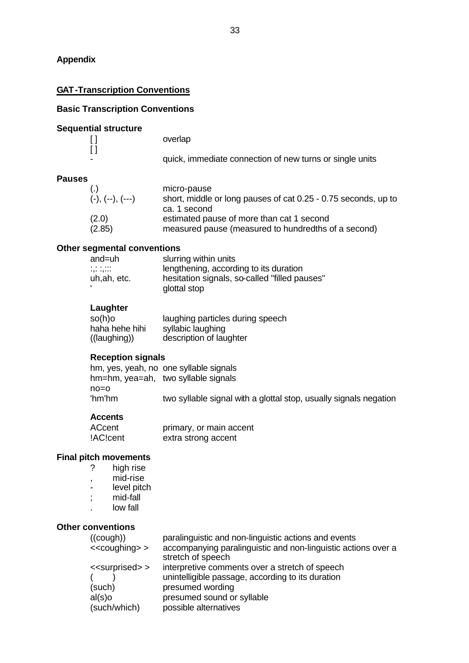## **Appendix**

## **GAT-Transcription Conventions**

## **Basic Transcription Conventions**

#### **Sequential structure**

| overlap                                                  |
|----------------------------------------------------------|
|                                                          |
| quick, immediate connection of new turns or single units |

## **Pauses**

| (.)              | micro-pause                                                                                                      |
|------------------|------------------------------------------------------------------------------------------------------------------|
| (-), (--), (---) | short, middle or long pauses of cat 0.25 - 0.75 seconds, up to                                                   |
| (2.0)<br>(2.85)  | ca. 1 second<br>estimated pause of more than cat 1 second<br>measured pause (measured to hundredths of a second) |

## **Other segmental conventions**

| and=uh      | slurring within units                         |
|-------------|-----------------------------------------------|
| <br>.       | lengthening, according to its duration        |
| uh,ah, etc. | hesitation signals, so-called "filled pauses" |
|             | glottal stop                                  |

## **Laughter**

| so(h)o         | laughing particles during speech |
|----------------|----------------------------------|
| haha hehe hihi | syllabic laughing                |
| ((laughing))   | description of laughter          |

## **Reception signals**

|        | hm, yes, yeah, no one syllable signals                            |
|--------|-------------------------------------------------------------------|
|        | hm=hm, yea=ah, two syllable signals                               |
| no=o   |                                                                   |
| 'hm'hm | two syllable signal with a glottal stop, usually signals negation |

#### **Accents**

| ACcent   | primary, or main accent |
|----------|-------------------------|
| !AC!cent | extra strong accent     |

## **Final pitch movements**

- ? high rise
- , mid-rise
- level pitch
- ; mid-fall
- . low fall

## **Other conventions**

| $((\text{cough}))$            | paralinguistic and non-linguistic actions and events                               |
|-------------------------------|------------------------------------------------------------------------------------|
| $\leq$ coughing $>$           | accompanying paralinguistic and non-linguistic actions over a<br>stretch of speech |
| < <surprised>&gt;</surprised> | interpretive comments over a stretch of speech                                     |
|                               | unintelligible passage, according to its duration                                  |
| (such)                        | presumed wording                                                                   |
| $al(s)$ o                     | presumed sound or syllable                                                         |
| (such/which)                  | possible alternatives                                                              |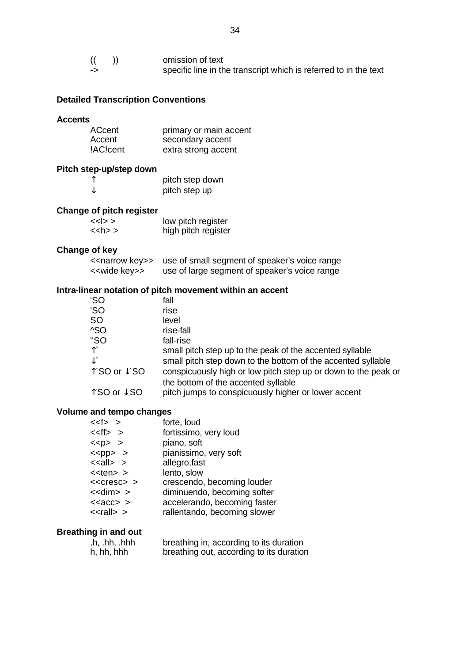|    | omission of text                                                 |
|----|------------------------------------------------------------------|
| -> | specific line in the transcript which is referred to in the text |

## **Detailed Transcription Conventions**

## **Accents**

| ACcent   | primary or main accent |
|----------|------------------------|
| Accent   | secondary accent       |
| !AC!cent | extra strong accent    |

## **Pitch step-up/step down**

|    | pitch step down |
|----|-----------------|
| sk | pitch step up   |

## **Change of pitch register**

| $<<$ $>$      | low pitch register  |
|---------------|---------------------|
| $\langle$ h>> | high pitch register |

## **Change of key**

| < <narrow key="">&gt;</narrow> | use of small segment of speaker's voice range |
|--------------------------------|-----------------------------------------------|
| < <wide key="">&gt;</wide>     | use of large segment of speaker's voice range |

## **Intra-linear notation of pitch movement within an accent**

| 'SO          | fall                                                           |
|--------------|----------------------------------------------------------------|
| 'SO          | rise                                                           |
| <b>SO</b>    | level                                                          |
| ^SO          | rise-fall                                                      |
| "SO          | fall-rise                                                      |
| $\uparrow$   | small pitch step up to the peak of the accented syllable       |
| $\downarrow$ | small pitch step down to the bottom of the accented syllable   |
| ↑`SO or ↓´SO | conspicuously high or low pitch step up or down to the peak or |
|              | the bottom of the accented syllable                            |
| ↑ SO or ↓ SO | pitch jumps to conspicuously higher or lower accent            |

## **Volume and tempo changes**

| < <f> &gt;</f>         | forte, loud                  |
|------------------------|------------------------------|
| $<<$ ff> >             | fortissimo, very loud        |
| $\langle$ <p> &gt;</p> | piano, soft                  |
| $<$ pp> >              | pianissimo, very soft        |
| $\le$ all $>$ >        | allegro, fast                |
| $<$ ten $>$            | lento, slow                  |
| $<<$ Cresc $>$ $>$     | crescendo, becoming louder   |
| $<<$ dim $>$ >         | diminuendo, becoming softer  |
| $\text{ >$             | accelerando, becoming faster |
| $\le$ rall $>$         | rallentando, becoming slower |

## **Breathing in and out**

| h, hh,.hhh | breathing in, according to its duration  |
|------------|------------------------------------------|
| h, hh, hhh | breathing out, according to its duration |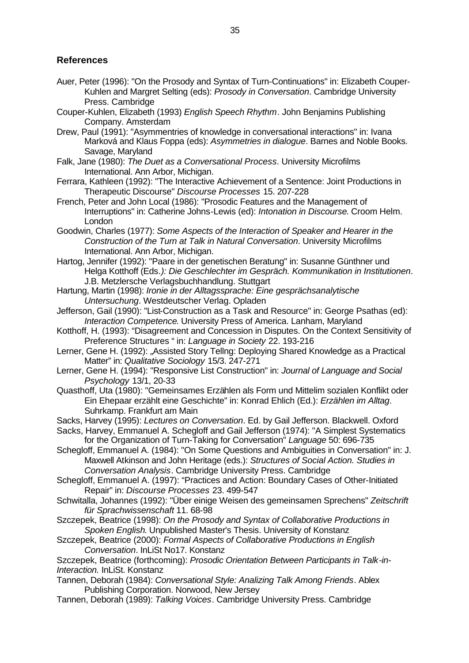## **References**

- Auer, Peter (1996): "On the Prosody and Syntax of Turn-Continuations" in: Elizabeth Couper-Kuhlen and Margret Selting (eds): *Prosody in Conversation*. Cambridge University Press. Cambridge
- Couper-Kuhlen, Elizabeth (1993) *English Speech Rhythm*. John Benjamins Publishing Company. Amsterdam
- Drew, Paul (1991): "Asymmentries of knowledge in conversational interactions" in: Ivana Marková and Klaus Foppa (eds): *Asymmetries in dialogue*. Barnes and Noble Books. Savage, Maryland
- Falk, Jane (1980): *The Duet as a Conversational Process*. University Microfilms International. Ann Arbor, Michigan.
- Ferrara, Kathleen (1992): "The Interactive Achievement of a Sentence: Joint Productions in Therapeutic Discourse" *Discourse Processes* 15. 207-228
- French, Peter and John Local (1986): "Prosodic Features and the Management of Interruptions" in: Catherine Johns-Lewis (ed): *Intonation in Discourse*. Croom Helm. London
- Goodwin, Charles (1977): *Some Aspects of the Interaction of Speaker and Hearer in the Construction of the Turn at Talk in Natural Conversation*. University Microfilms International. Ann Arbor, Michigan.
- Hartog, Jennifer (1992): "Paare in der genetischen Beratung" in: Susanne Günthner und Helga Kotthoff (Eds*.): Die Geschlechter im Gespräch. Kommunikation in Institutionen*. J.B. Metzlersche Verlagsbuchhandlung. Stuttgart
- Hartung, Martin (1998): *Ironie in der Alltagssprache: Eine gesprächsanalytische Untersuchung*. Westdeutscher Verlag. Opladen
- Jefferson, Gail (1990): "List-Construction as a Task and Resource" in: George Psathas (ed): *Interaction Competence*. University Press of America. Lanham, Maryland
- Kotthoff, H. (1993): "Disagreement and Concession in Disputes. On the Context Sensitivity of Preference Structures " in: *Language in Society* 22. 193-216
- Lerner, Gene H. (1992): "Assisted Story Tellng: Deploying Shared Knowledge as a Practical Matter" in: *Qualitative Sociology* 15/3. 247-271
- Lerner, Gene H. (1994): "Responsive List Construction" in: *Journal of Language and Social Psychology* 13/1, 20-33
- Quasthoff, Uta (1980): "Gemeinsames Erzählen als Form und Mittelim sozialen Konflikt oder Ein Ehepaar erzählt eine Geschichte" in: Konrad Ehlich (Ed.): *Erzählen im Alltag*. Suhrkamp. Frankfurt am Main
- Sacks, Harvey (1995): *Lectures on Conversation*. Ed. by Gail Jefferson. Blackwell. Oxford
- Sacks, Harvey, Emmanuel A. Schegloff and Gail Jefferson (1974): "A Simplest Systematics for the Organization of Turn-Taking for Conversation" *Language* 50: 696-735
- Schegloff, Emmanuel A. (1984): "On Some Questions and Ambiguities in Conversation" in: J. Maxwell Atkinson and John Heritage (eds.): *Structures of Social Action. Studies in Conversation Analysis*. Cambridge University Press. Cambridge
- Schegloff, Emmanuel A. (1997): "Practices and Action: Boundary Cases of Other-Initiated Repair" in: *Discourse Processes* 23. 499-547
- Schwitalla, Johannes (1992): "Über einige Weisen des gemeinsamen Sprechens" *Zeitschrift für Sprachwissenschaft* 11. 68-98
- Szczepek, Beatrice (1998): *On the Prosody and Syntax of Collaborative Productions in Spoken English*. Unpublished Master's Thesis. University of Konstanz
- Szczepek, Beatrice (2000): *Formal Aspects of Collaborative Productions in English Conversation*. InLiSt No17. Konstanz
- Szczepek, Beatrice (forthcoming): *Prosodic Orientation Between Participants in Talk-in-Interaction.* InLiSt. Konstanz
- Tannen, Deborah (1984): *Conversational Style: Analizing Talk Among Friends*. Ablex Publishing Corporation. Norwood, New Jersey
- Tannen, Deborah (1989): *Talking Voices*. Cambridge University Press. Cambridge